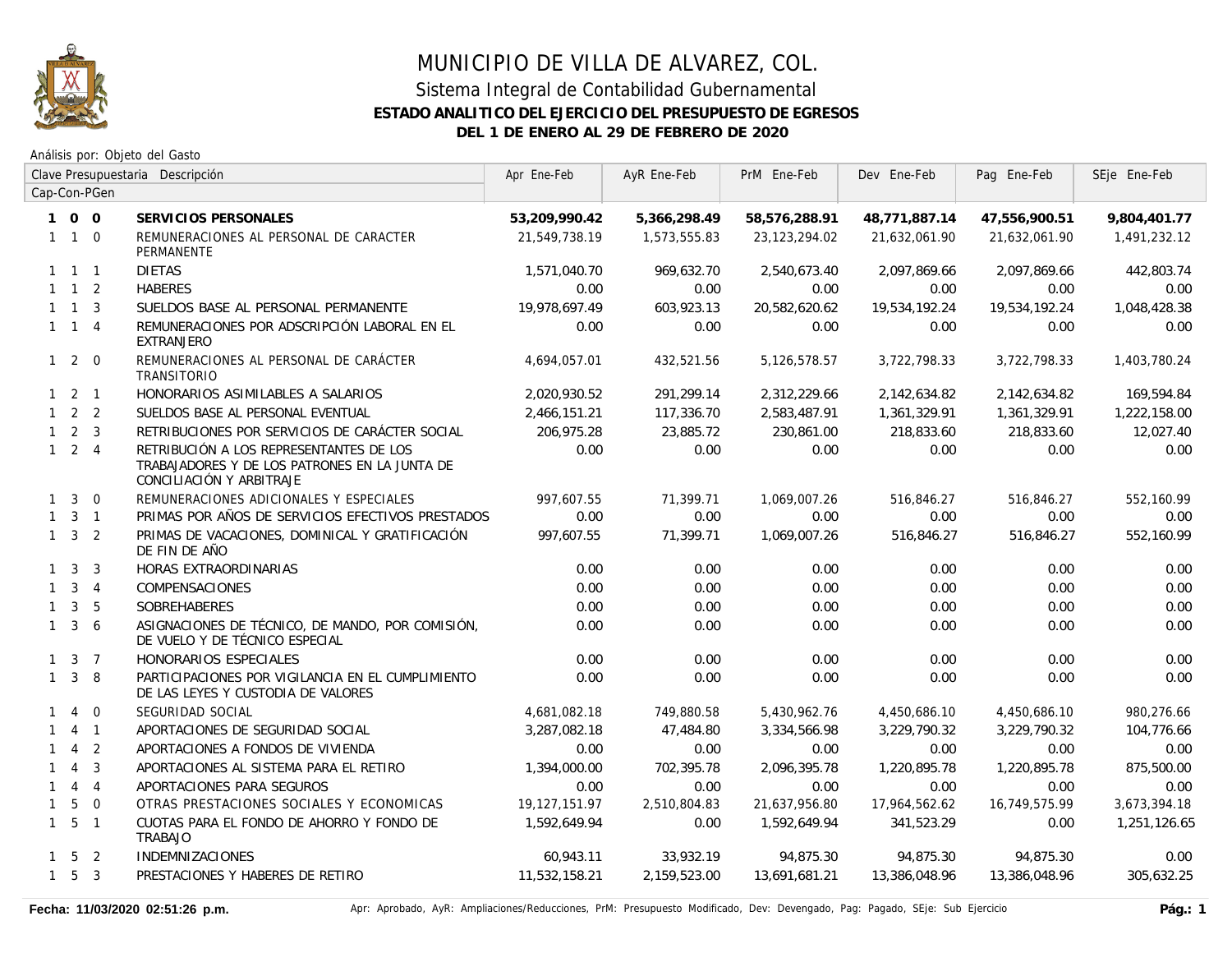

|              | Clave Presupuestaria Descripción |                |                                                                                                                      | Apr Ene-Feb   | AyR Ene-Feb  | PrM Ene-Feb     | Dev Ene-Feb   | Pag Ene-Feb   | SEje Ene-Feb |
|--------------|----------------------------------|----------------|----------------------------------------------------------------------------------------------------------------------|---------------|--------------|-----------------|---------------|---------------|--------------|
|              |                                  | Cap-Con-PGen   |                                                                                                                      |               |              |                 |               |               |              |
|              | 100                              |                | SERVICIOS PERSONALES                                                                                                 | 53,209,990.42 | 5,366,298.49 | 58,576,288.91   | 48,771,887.14 | 47,556,900.51 | 9,804,401.77 |
|              | $1\quad1\quad0$                  |                | REMUNERACIONES AL PERSONAL DE CARACTER<br><b>PERMANENTE</b>                                                          | 21,549,738.19 | 1,573,555.83 | 23, 123, 294.02 | 21,632,061.90 | 21,632,061.90 | 1,491,232.12 |
|              | $1 \quad 1 \quad 1$              |                | <b>DIETAS</b>                                                                                                        | 1,571,040.70  | 969,632.70   | 2,540,673.40    | 2,097,869.66  | 2,097,869.66  | 442,803.74   |
|              | $1 \quad 1 \quad 2$              |                | <b>HABERES</b>                                                                                                       | 0.00          | 0.00         | 0.00            | 0.00          | 0.00          | 0.00         |
|              | $1 \quad 1 \quad 3$              |                | SUELDOS BASE AL PERSONAL PERMANENTE                                                                                  | 19,978,697.49 | 603,923.13   | 20,582,620.62   | 19,534,192.24 | 19,534,192.24 | 1,048,428.38 |
|              | $1 \quad 1 \quad 4$              |                | REMUNERACIONES POR ADSCRIPCIÓN LABORAL EN EL<br><b>EXTRANJERO</b>                                                    | 0.00          | 0.00         | 0.00            | 0.00          | 0.00          | 0.00         |
|              | $1\quad2\quad0$                  |                | REMUNERACIONES AL PERSONAL DE CARÁCTER<br>TRANSITORIO                                                                | 4,694,057.01  | 432,521.56   | 5,126,578.57    | 3,722,798.33  | 3,722,798.33  | 1,403,780.24 |
|              | $1 \quad 2 \quad 1$              |                | HONORARIOS ASIMILABLES A SALARIOS                                                                                    | 2,020,930.52  | 291,299.14   | 2,312,229.66    | 2,142,634.82  | 2,142,634.82  | 169,594.84   |
|              | $1 \quad 2 \quad 2$              |                | SUELDOS BASE AL PERSONAL EVENTUAL                                                                                    | 2,466,151.21  | 117,336.70   | 2,583,487.91    | 1,361,329.91  | 1,361,329.91  | 1,222,158.00 |
|              | $1 \quad 2 \quad 3$              |                | RETRIBUCIONES POR SERVICIOS DE CARÁCTER SOCIAL                                                                       | 206,975.28    | 23,885.72    | 230,861.00      | 218,833.60    | 218,833.60    | 12,027.40    |
|              | $1 \quad 2 \quad 4$              |                | RETRIBUCIÓN A LOS REPRESENTANTES DE LOS<br>TRABAJADORES Y DE LOS PATRONES EN LA JUNTA DE<br>CONCILIACIÓN Y ARBITRAJE | 0.00          | 0.00         | 0.00            | 0.00          | 0.00          | 0.00         |
|              | $1 \quad 3$                      | $\overline{0}$ | REMUNERACIONES ADICIONALES Y ESPECIALES                                                                              | 997,607.55    | 71,399.71    | 1,069,007.26    | 516,846.27    | 516,846.27    | 552,160.99   |
|              | $1 \quad 3 \quad 1$              |                | PRIMAS POR AÑOS DE SERVICIOS EFECTIVOS PRESTADOS                                                                     | 0.00          | 0.00         | 0.00            | 0.00          | 0.00          | 0.00         |
|              | $1 \quad 3 \quad 2$              |                | PRIMAS DE VACACIONES, DOMINICAL Y GRATIFICACIÓN<br>DE FIN DE AÑO                                                     | 997,607.55    | 71,399.71    | 1,069,007.26    | 516,846.27    | 516,846.27    | 552,160.99   |
|              | $1 \quad 3 \quad 3$              |                | HORAS EXTRAORDINARIAS                                                                                                | 0.00          | 0.00         | 0.00            | 0.00          | 0.00          | 0.00         |
|              | $1 \quad 3 \quad 4$              |                | COMPENSACIONES                                                                                                       | 0.00          | 0.00         | 0.00            | 0.00          | 0.00          | 0.00         |
| $\mathbf{1}$ | $\mathbf{3}$                     | 5              | <b>SOBREHABERES</b>                                                                                                  | 0.00          | 0.00         | 0.00            | 0.00          | 0.00          | 0.00         |
|              | $1 \quad 3 \quad 6$              |                | ASIGNACIONES DE TÉCNICO, DE MANDO, POR COMISIÓN,<br>DE VUELO Y DE TÉCNICO ESPECIAL                                   | 0.00          | 0.00         | 0.00            | 0.00          | 0.00          | 0.00         |
|              | $1 \quad 3 \quad 7$              |                | HONORARIOS ESPECIALES                                                                                                | 0.00          | 0.00         | 0.00            | 0.00          | 0.00          | 0.00         |
|              | $1 \quad 3 \quad 8$              |                | PARTICIPACIONES POR VIGILANCIA EN EL CUMPLIMIENTO<br>DE LAS LEYES Y CUSTODIA DE VALORES                              | 0.00          | 0.00         | 0.00            | 0.00          | 0.00          | 0.00         |
| $\mathbf{1}$ | $\overline{4}$                   | $\overline{0}$ | SEGURIDAD SOCIAL                                                                                                     | 4,681,082.18  | 749,880.58   | 5,430,962.76    | 4,450,686.10  | 4,450,686.10  | 980,276.66   |
|              |                                  | $4 \quad 1$    | APORTACIONES DE SEGURIDAD SOCIAL                                                                                     | 3,287,082.18  | 47,484.80    | 3,334,566.98    | 3,229,790.32  | 3,229,790.32  | 104,776.66   |
| $\mathbf{1}$ | $\overline{4}$                   | $\overline{2}$ | APORTACIONES A FONDOS DE VIVIENDA                                                                                    | 0.00          | 0.00         | 0.00            | 0.00          | 0.00          | 0.00         |
| $\mathbf{1}$ | $\overline{4}$                   | $\overline{3}$ | APORTACIONES AL SISTEMA PARA EL RETIRO                                                                               | 1,394,000.00  | 702,395.78   | 2,096,395.78    | 1,220,895.78  | 1,220,895.78  | 875,500.00   |
|              | $144$                            |                | APORTACIONES PARA SEGUROS                                                                                            | 0.00          | 0.00         | 0.00            | 0.00          | 0.00          | 0.00         |
| $\mathbf{1}$ | 5                                | $\overline{0}$ | OTRAS PRESTACIONES SOCIALES Y ECONOMICAS                                                                             | 19,127,151.97 | 2,510,804.83 | 21,637,956.80   | 17,964,562.62 | 16,749,575.99 | 3,673,394.18 |
|              | $1\quad 5\quad 1$                |                | CUOTAS PARA EL FONDO DE AHORRO Y FONDO DE<br>TRABAJO                                                                 | 1,592,649.94  | 0.00         | 1,592,649.94    | 341,523.29    | 0.00          | 1,251,126.65 |
|              | $1 \quad 5 \quad 2$              |                | <b>INDEMNIZACIONES</b>                                                                                               | 60,943.11     | 33,932.19    | 94,875.30       | 94,875.30     | 94,875.30     | 0.00         |
|              | $1\quad 5\quad 3$                |                | PRESTACIONES Y HABERES DE RETIRO                                                                                     | 11,532,158.21 | 2,159,523.00 | 13,691,681.21   | 13,386,048.96 | 13,386,048.96 | 305,632.25   |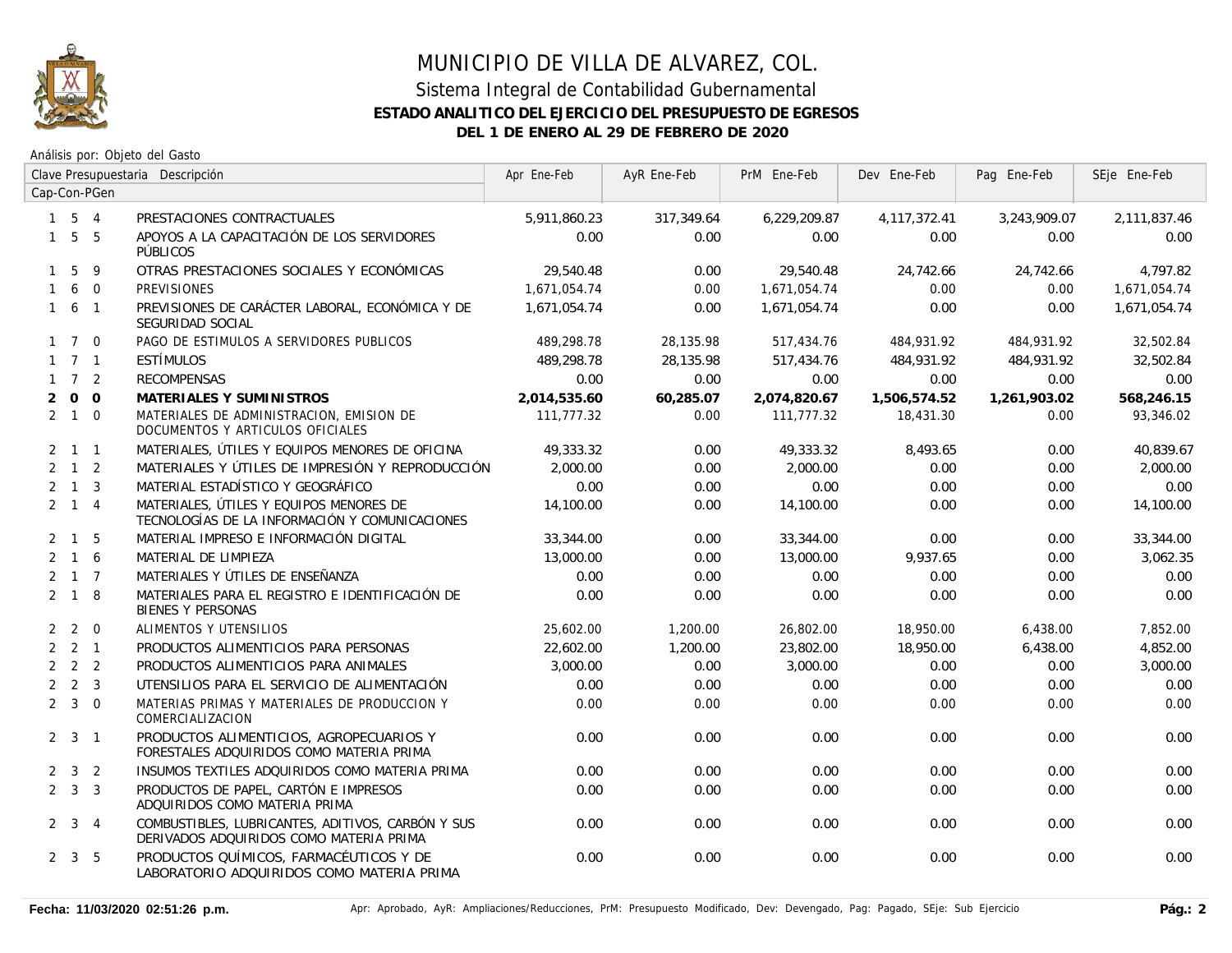

|                | Clave Presupuestaria Descripción |                |                                                                                              | Apr Ene-Feb  | AyR Ene-Feb | PrM Ene-Feb  | Dev Ene-Feb  | Pag Ene-Feb  | SEje Ene-Feb |
|----------------|----------------------------------|----------------|----------------------------------------------------------------------------------------------|--------------|-------------|--------------|--------------|--------------|--------------|
|                |                                  | Cap-Con-PGen   |                                                                                              |              |             |              |              |              |              |
|                | $1 \quad 5 \quad 4$              |                | PRESTACIONES CONTRACTUALES                                                                   | 5,911,860.23 | 317,349.64  | 6,229,209.87 | 4,117,372.41 | 3,243,909.07 | 2,111,837.46 |
|                | $1\quad5\quad5$                  |                | APOYOS A LA CAPACITACIÓN DE LOS SERVIDORES<br>PÚBLICOS                                       | 0.00         | 0.00        | 0.00         | 0.00         | 0.00         | 0.00         |
|                | $1\quad5$                        | 9              | OTRAS PRESTACIONES SOCIALES Y ECONÓMICAS                                                     | 29,540.48    | 0.00        | 29,540.48    | 24,742.66    | 24,742.66    | 4,797.82     |
|                | 160                              |                | <b>PREVISIONES</b>                                                                           | 1,671,054.74 | 0.00        | 1,671,054.74 | 0.00         | 0.00         | 1,671,054.74 |
|                | $1\quad 6\quad 1$                |                | PREVISIONES DE CARÁCTER LABORAL, ECONÓMICA Y DE<br>SEGURIDAD SOCIAL                          | 1.671.054.74 | 0.00        | 1,671,054.74 | 0.00         | 0.00         | 1,671,054.74 |
|                | $1 \quad 7 \quad 0$              |                | PAGO DE ESTIMULOS A SERVIDORES PUBLICOS                                                      | 489,298.78   | 28,135.98   | 517,434.76   | 484,931.92   | 484,931.92   | 32,502.84    |
|                | $1 \quad 7 \quad 1$              |                | ESTÍMULOS                                                                                    | 489,298.78   | 28.135.98   | 517,434.76   | 484,931.92   | 484,931.92   | 32,502.84    |
|                | $1 \quad 7 \quad 2$              |                | <b>RECOMPENSAS</b>                                                                           | 0.00         | 0.00        | 0.00         | 0.00         | 0.00         | 0.00         |
| $\overline{2}$ | $\overline{O}$                   | $\overline{0}$ | MATERIALES Y SUMINISTROS                                                                     | 2,014,535.60 | 60,285.07   | 2,074,820.67 | 1,506,574.52 | 1,261,903.02 | 568,246.15   |
|                | $2 \quad 1 \quad 0$              |                | MATERIALES DE ADMINISTRACION, EMISION DE<br>DOCUMENTOS Y ARTICULOS OFICIALES                 | 111,777.32   | 0.00        | 111,777.32   | 18,431.30    | 0.00         | 93,346.02    |
|                | $2 \quad 1 \quad 1$              |                | MATERIALES, ÚTILES Y EQUIPOS MENORES DE OFICINA                                              | 49,333.32    | 0.00        | 49,333.32    | 8,493.65     | 0.00         | 40,839.67    |
|                | $2 \quad 1 \quad 2$              |                | MATERIALES Y ÚTILES DE IMPRESIÓN Y REPRODUCCIÓN                                              | 2,000.00     | 0.00        | 2,000.00     | 0.00         | 0.00         | 2,000.00     |
|                | $2 \quad 1 \quad 3$              |                | MATERIAL ESTADÍSTICO Y GEOGRÁFICO                                                            | 0.00         | 0.00        | 0.00         | 0.00         | 0.00         | 0.00         |
|                | $2 \quad 1 \quad 4$              |                | MATERIALES, ÚTILES Y EQUIPOS MENORES DE<br>TECNOLOGÍAS DE LA INFORMACIÓN Y COMUNICACIONES    | 14,100.00    | 0.00        | 14,100.00    | 0.00         | 0.00         | 14,100.00    |
|                | $2 \quad 1 \quad 5$              |                | MATERIAL IMPRESO E INFORMACIÓN DIGITAL                                                       | 33,344.00    | 0.00        | 33,344.00    | 0.00         | 0.00         | 33,344.00    |
|                | $2 \t1 \t6$                      |                | MATERIAL DE LIMPIEZA                                                                         | 13,000.00    | 0.00        | 13,000.00    | 9,937.65     | 0.00         | 3,062.35     |
|                | $2 \quad 1 \quad 7$              |                | MATERIALES Y ÚTILES DE ENSEÑANZA                                                             | 0.00         | 0.00        | 0.00         | 0.00         | 0.00         | 0.00         |
|                | $2 \quad 1 \quad 8$              |                | MATERIALES PARA EL REGISTRO E IDENTIFICACIÓN DE<br><b>BIENES Y PERSONAS</b>                  | 0.00         | 0.00        | 0.00         | 0.00         | 0.00         | 0.00         |
|                | $2 \quad 2 \quad 0$              |                | ALIMENTOS Y UTENSILIOS                                                                       | 25,602.00    | 1,200.00    | 26,802.00    | 18,950.00    | 6,438.00     | 7,852.00     |
|                | $2 \quad 2 \quad 1$              |                | PRODUCTOS ALIMENTICIOS PARA PERSONAS                                                         | 22,602.00    | 1,200.00    | 23,802.00    | 18,950.00    | 6,438.00     | 4,852.00     |
|                | $2 \quad 2 \quad 2$              |                | PRODUCTOS ALIMENTICIOS PARA ANIMALES                                                         | 3,000.00     | 0.00        | 3,000.00     | 0.00         | 0.00         | 3,000.00     |
|                | $2 \quad 2 \quad 3$              |                | UTENSILIOS PARA EL SERVICIO DE ALIMENTACIÓN                                                  | 0.00         | 0.00        | 0.00         | 0.00         | 0.00         | 0.00         |
|                | $2 \quad 3 \quad 0$              |                | MATERIAS PRIMAS Y MATERIALES DE PRODUCCION Y<br>COMERCIALIZACION                             | 0.00         | 0.00        | 0.00         | 0.00         | 0.00         | 0.00         |
|                | $2 \quad 3 \quad 1$              |                | PRODUCTOS ALIMENTICIOS, AGROPECUARIOS Y<br>FORESTALES ADQUIRIDOS COMO MATERIA PRIMA          | 0.00         | 0.00        | 0.00         | 0.00         | 0.00         | 0.00         |
|                | $2 \quad 3 \quad 2$              |                | INSUMOS TEXTILES ADQUIRIDOS COMO MATERIA PRIMA                                               | 0.00         | 0.00        | 0.00         | 0.00         | 0.00         | 0.00         |
|                | $2 \quad 3 \quad 3$              |                | PRODUCTOS DE PAPEL, CARTÓN E IMPRESOS<br>ADQUIRIDOS COMO MATERIA PRIMA                       | 0.00         | 0.00        | 0.00         | 0.00         | 0.00         | 0.00         |
|                | $2 \quad 3 \quad 4$              |                | COMBUSTIBLES, LUBRICANTES, ADITIVOS, CARBÓN Y SUS<br>DERIVADOS ADQUIRIDOS COMO MATERIA PRIMA | 0.00         | 0.00        | 0.00         | 0.00         | 0.00         | 0.00         |
|                | $2 \quad 3 \quad 5$              |                | PRODUCTOS QUÍMICOS, FARMACÉUTICOS Y DE<br>LABORATORIO ADQUIRIDOS COMO MATERIA PRIMA          | 0.00         | 0.00        | 0.00         | 0.00         | 0.00         | 0.00         |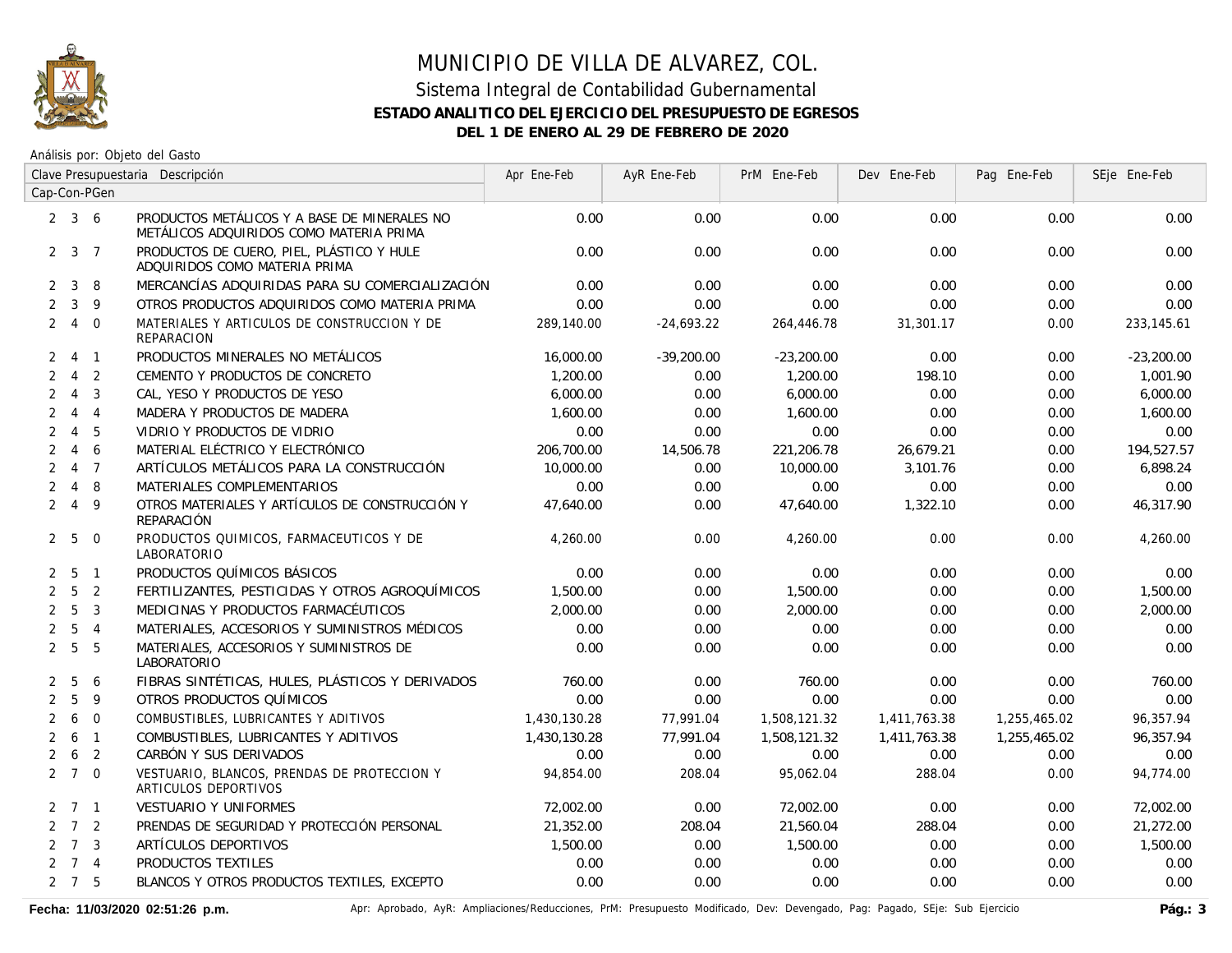

Análisis por: Objeto del Gasto

|                | Clave Presupuestaria Descripción |                |                                                                                         | Apr Ene-Feb  | AyR Ene-Feb  | PrM Ene-Feb  | Dev Ene-Feb  | Pag Ene-Feb  | SEje Ene-Feb |
|----------------|----------------------------------|----------------|-----------------------------------------------------------------------------------------|--------------|--------------|--------------|--------------|--------------|--------------|
|                |                                  | Cap-Con-PGen   |                                                                                         |              |              |              |              |              |              |
|                | $2 \quad 3 \quad 6$              |                | PRODUCTOS METÁLICOS Y A BASE DE MINERALES NO<br>METÁLICOS ADQUIRIDOS COMO MATERIA PRIMA | 0.00         | 0.00         | 0.00         | 0.00         | 0.00         | 0.00         |
|                | $2 \quad 3 \quad 7$              |                | PRODUCTOS DE CUERO, PIEL, PLÁSTICO Y HULE<br>ADQUIRIDOS COMO MATERIA PRIMA              | 0.00         | 0.00         | 0.00         | 0.00         | 0.00         | 0.00         |
| $\mathbf{2}$   | $\mathbf{3}$                     | 8              | MERCANCÍAS ADQUIRIDAS PARA SU COMERCIALIZACIÓN                                          | 0.00         | 0.00         | 0.00         | 0.00         | 0.00         | 0.00         |
| $\overline{2}$ | $\mathbf{3}$                     | 9              | OTROS PRODUCTOS ADQUIRIDOS COMO MATERIA PRIMA                                           | 0.00         | 0.00         | 0.00         | 0.00         | 0.00         | 0.00         |
|                | $2 \quad 4$                      | $\overline{0}$ | MATERIALES Y ARTICULOS DE CONSTRUCCION Y DE<br><b>REPARACION</b>                        | 289,140.00   | $-24,693.22$ | 264,446.78   | 31,301.17    | 0.00         | 233, 145.61  |
| 2              | 4 1                              |                | PRODUCTOS MINERALES NO METÁLICOS                                                        | 16,000.00    | $-39,200.00$ | $-23,200.00$ | 0.00         | 0.00         | $-23,200.00$ |
| $\overline{2}$ | $\overline{4}$                   | $\overline{2}$ | CEMENTO Y PRODUCTOS DE CONCRETO                                                         | 1,200.00     | 0.00         | 1,200.00     | 198.10       | 0.00         | 1,001.90     |
| $\overline{2}$ | $\overline{4}$                   | $\overline{3}$ | CAL, YESO Y PRODUCTOS DE YESO                                                           | 6,000.00     | 0.00         | 6,000.00     | 0.00         | 0.00         | 6,000.00     |
| $\overline{2}$ |                                  | $4 \quad 4$    | MADERA Y PRODUCTOS DE MADERA                                                            | 1,600.00     | 0.00         | 1,600.00     | 0.00         | 0.00         | 1,600.00     |
| $\overline{2}$ | $4\quad 5$                       |                | VIDRIO Y PRODUCTOS DE VIDRIO                                                            | 0.00         | 0.00         | 0.00         | 0.00         | 0.00         | 0.00         |
| $\overline{2}$ | $\overline{4}$                   | 6              | MATERIAL ELÉCTRICO Y ELECTRÓNICO                                                        | 206,700.00   | 14,506.78    | 221,206.78   | 26,679.21    | 0.00         | 194,527.57   |
| $\overline{2}$ | $\overline{4}$                   | $\overline{7}$ | ARTÍCULOS METÁLICOS PARA LA CONSTRUCCIÓN                                                | 10,000.00    | 0.00         | 10,000.00    | 3,101.76     | 0.00         | 6,898.24     |
|                | $2 \quad 4 \quad 8$              |                | MATERIALES COMPLEMENTARIOS                                                              | 0.00         | 0.00         | 0.00         | 0.00         | 0.00         | 0.00         |
|                | 249                              |                | OTROS MATERIALES Y ARTÍCULOS DE CONSTRUCCIÓN Y<br>REPARACIÓN                            | 47,640.00    | 0.00         | 47,640.00    | 1,322.10     | 0.00         | 46,317.90    |
|                | 2 <sub>5</sub>                   | $\overline{0}$ | PRODUCTOS QUIMICOS, FARMACEUTICOS Y DE<br>LABORATORIO                                   | 4,260.00     | 0.00         | 4,260.00     | 0.00         | 0.00         | 4,260.00     |
| $\mathbf{2}$   | 5 1                              |                | PRODUCTOS QUÍMICOS BÁSICOS                                                              | 0.00         | 0.00         | 0.00         | 0.00         | 0.00         | 0.00         |
|                | 2 <sub>5</sub>                   | $\overline{2}$ | FERTILIZANTES, PESTICIDAS Y OTROS AGROQUÍMICOS                                          | 1,500.00     | 0.00         | 1,500.00     | 0.00         | 0.00         | 1,500.00     |
|                | 2 <sub>5</sub>                   | $\overline{3}$ | MEDICINAS Y PRODUCTOS FARMACÉUTICOS                                                     | 2,000.00     | 0.00         | 2,000.00     | 0.00         | 0.00         | 2,000.00     |
|                | 2 <sub>5</sub>                   | $\overline{4}$ | MATERIALES, ACCESORIOS Y SUMINISTROS MÉDICOS                                            | 0.00         | 0.00         | 0.00         | 0.00         | 0.00         | 0.00         |
|                | 2 <sub>5</sub>                   | - 5            | MATERIALES, ACCESORIOS Y SUMINISTROS DE<br>LABORATORIO                                  | 0.00         | 0.00         | 0.00         | 0.00         | 0.00         | 0.00         |
| $\mathbf{2}$   | 5                                | 6              | FIBRAS SINTÉTICAS, HULES, PLÁSTICOS Y DERIVADOS                                         | 760.00       | 0.00         | 760.00       | 0.00         | 0.00         | 760.00       |
| $\overline{2}$ | 5                                | 9              | OTROS PRODUCTOS QUÍMICOS                                                                | 0.00         | 0.00         | 0.00         | 0.00         | 0.00         | 0.00         |
| $\overline{2}$ | 6                                | $\overline{0}$ | COMBUSTIBLES, LUBRICANTES Y ADITIVOS                                                    | 1,430,130.28 | 77,991.04    | 1,508,121.32 | 1,411,763.38 | 1,255,465.02 | 96,357.94    |
| $\overline{2}$ | 6                                | $\overline{1}$ | COMBUSTIBLES, LUBRICANTES Y ADITIVOS                                                    | 1,430,130.28 | 77,991.04    | 1,508,121.32 | 1,411,763.38 | 1,255,465.02 | 96,357.94    |
|                | $2\quad 6$                       | $\overline{2}$ | CARBÓN Y SUS DERIVADOS                                                                  | 0.00         | 0.00         | 0.00         | 0.00         | 0.00         | 0.00         |
|                | $2 \quad 7 \quad 0$              |                | VESTUARIO, BLANCOS, PRENDAS DE PROTECCION Y<br>ARTICULOS DEPORTIVOS                     | 94,854.00    | 208.04       | 95,062.04    | 288.04       | 0.00         | 94,774.00    |
|                | $2 \quad 7 \quad 1$              |                | <b>VESTUARIO Y UNIFORMES</b>                                                            | 72,002.00    | 0.00         | 72,002.00    | 0.00         | 0.00         | 72,002.00    |
|                | $2 \quad 7 \quad 2$              |                | PRENDAS DE SEGURIDAD Y PROTECCIÓN PERSONAL                                              | 21,352.00    | 208.04       | 21,560.04    | 288.04       | 0.00         | 21,272.00    |
|                | $2 \quad 7 \quad 3$              |                | ARTÍCULOS DEPORTIVOS                                                                    | 1,500.00     | 0.00         | 1,500.00     | 0.00         | 0.00         | 1,500.00     |
|                | $2 \quad 7 \quad 4$              |                | PRODUCTOS TEXTILES                                                                      | 0.00         | 0.00         | 0.00         | 0.00         | 0.00         | 0.00         |
|                | $2 \quad 7 \quad 5$              |                | BLANCOS Y OTROS PRODUCTOS TEXTILES, EXCEPTO                                             | 0.00         | 0.00         | 0.00         | 0.00         | 0.00         | 0.00         |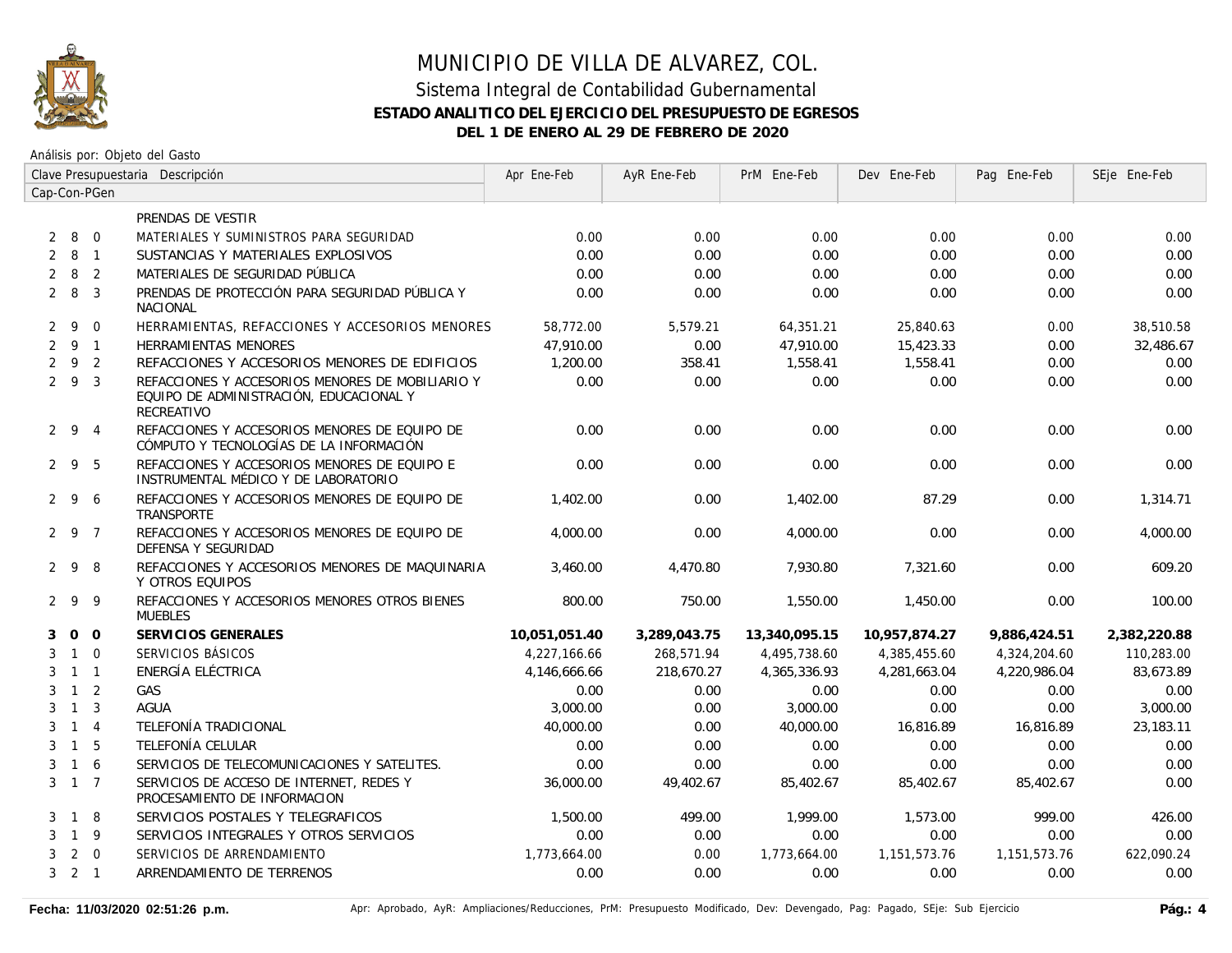

|                | Clave Presupuestaria Descripción |                |                                                                                                           | Apr Ene-Feb   | AyR Ene-Feb  | PrM Ene-Feb   | Dev Ene-Feb   | Pag Ene-Feb  | SEje Ene-Feb |
|----------------|----------------------------------|----------------|-----------------------------------------------------------------------------------------------------------|---------------|--------------|---------------|---------------|--------------|--------------|
|                |                                  | Cap-Con-PGen   |                                                                                                           |               |              |               |               |              |              |
|                |                                  |                | PRENDAS DE VESTIR                                                                                         |               |              |               |               |              |              |
| 2              | 8 0                              |                | MATERIALES Y SUMINISTROS PARA SEGURIDAD                                                                   | 0.00          | 0.00         | 0.00          | 0.00          | 0.00         | 0.00         |
| 2              | 8                                | $\overline{1}$ | SUSTANCIAS Y MATERIALES EXPLOSIVOS                                                                        | 0.00          | 0.00         | 0.00          | 0.00          | 0.00         | 0.00         |
| $\overline{2}$ | 8                                | $\overline{2}$ | MATERIALES DE SEGURIDAD PÚBLICA                                                                           | 0.00          | 0.00         | 0.00          | 0.00          | 0.00         | 0.00         |
|                | $2 \quad 8$                      | $\overline{3}$ | PRENDAS DE PROTECCIÓN PARA SEGURIDAD PÚBLICA Y<br><b>NACIONAL</b>                                         | 0.00          | 0.00         | 0.00          | 0.00          | 0.00         | 0.00         |
| 2              | -9                               | $\Omega$       | HERRAMIENTAS, REFACCIONES Y ACCESORIOS MENORES                                                            | 58,772.00     | 5,579.21     | 64,351.21     | 25,840.63     | 0.00         | 38,510.58    |
|                | 291                              |                | <b>HERRAMIENTAS MENORES</b>                                                                               | 47,910.00     | 0.00         | 47,910.00     | 15,423.33     | 0.00         | 32,486.67    |
| $\overline{2}$ | 9 2                              |                | REFACCIONES Y ACCESORIOS MENORES DE EDIFICIOS                                                             | 1,200.00      | 358.41       | 1,558.41      | 1,558.41      | 0.00         | 0.00         |
|                | 293                              |                | REFACCIONES Y ACCESORIOS MENORES DE MOBILIARIO Y<br>EQUIPO DE ADMINISTRACIÓN, EDUCACIONAL Y<br>RECREATIVO | 0.00          | 0.00         | 0.00          | 0.00          | 0.00         | 0.00         |
|                | 294                              |                | REFACCIONES Y ACCESORIOS MENORES DE EQUIPO DE<br>CÓMPUTO Y TECNOLOGÍAS DE LA INFORMACIÓN                  | 0.00          | 0.00         | 0.00          | 0.00          | 0.00         | 0.00         |
|                | 295                              |                | REFACCIONES Y ACCESORIOS MENORES DE EQUIPO E<br>INSTRUMENTAL MÉDICO Y DE LABORATORIO                      | 0.00          | 0.00         | 0.00          | 0.00          | 0.00         | 0.00         |
|                | $2 \quad 9$                      | 6              | REFACCIONES Y ACCESORIOS MENORES DE EQUIPO DE<br>TRANSPORTE                                               | 1,402.00      | 0.00         | 1,402.00      | 87.29         | 0.00         | 1,314.71     |
|                | 297                              |                | REFACCIONES Y ACCESORIOS MENORES DE EQUIPO DE<br>DEFENSA Y SEGURIDAD                                      | 4,000.00      | 0.00         | 4,000.00      | 0.00          | 0.00         | 4,000.00     |
|                | 298                              |                | REFACCIONES Y ACCESORIOS MENORES DE MAQUINARIA<br>Y OTROS EQUIPOS                                         | 3,460.00      | 4,470.80     | 7,930.80      | 7,321.60      | 0.00         | 609.20       |
|                | 299                              |                | REFACCIONES Y ACCESORIOS MENORES OTROS BIENES<br><b>MUEBLES</b>                                           | 800.00        | 750.00       | 1,550.00      | 1,450.00      | 0.00         | 100.00       |
| 3              | $0\quad 0$                       |                | SERVICIOS GENERALES                                                                                       | 10,051,051.40 | 3,289,043.75 | 13,340,095.15 | 10,957,874.27 | 9,886,424.51 | 2,382,220.88 |
| 3              | $1 \quad 0$                      |                | SERVICIOS BÁSICOS                                                                                         | 4,227,166.66  | 268,571.94   | 4,495,738.60  | 4,385,455.60  | 4,324,204.60 | 110,283.00   |
| 3              | $1 \quad 1$                      |                | ENERGÍA ELÉCTRICA                                                                                         | 4,146,666.66  | 218,670.27   | 4,365,336.93  | 4,281,663.04  | 4,220,986.04 | 83,673.89    |
| 3              | $1\quad 2$                       |                | GAS                                                                                                       | 0.00          | 0.00         | 0.00          | 0.00          | 0.00         | 0.00         |
| 3              | $\overline{1}$                   | $\overline{3}$ | <b>AGUA</b>                                                                                               | 3,000.00      | 0.00         | 3,000.00      | 0.00          | 0.00         | 3,000.00     |
| 3              | $1 \quad 4$                      |                | TELEFONÍA TRADICIONAL                                                                                     | 40,000.00     | 0.00         | 40,000.00     | 16,816.89     | 16,816.89    | 23,183.11    |
| 3              | 1 5                              |                | TELEFONÍA CELULAR                                                                                         | 0.00          | 0.00         | 0.00          | 0.00          | 0.00         | 0.00         |
| 3              | 1 6                              |                | SERVICIOS DE TELECOMUNICACIONES Y SATELITES.                                                              | 0.00          | 0.00         | 0.00          | 0.00          | 0.00         | 0.00         |
|                | $3 \t1 \t7$                      |                | SERVICIOS DE ACCESO DE INTERNET. REDES Y<br>PROCESAMIENTO DE INFORMACION                                  | 36,000.00     | 49,402.67    | 85,402.67     | 85,402.67     | 85,402.67    | 0.00         |
| 3              | 1 8                              |                | SERVICIOS POSTALES Y TELEGRAFICOS                                                                         | 1,500.00      | 499.00       | 1.999.00      | 1,573.00      | 999.00       | 426.00       |
| 3              | $1 \quad 9$                      |                | SERVICIOS INTEGRALES Y OTROS SERVICIOS                                                                    | 0.00          | 0.00         | 0.00          | 0.00          | 0.00         | 0.00         |
| 3              | $\overline{2}$                   | $\overline{0}$ | SERVICIOS DE ARRENDAMIENTO                                                                                | 1,773,664.00  | 0.00         | 1,773,664.00  | 1,151,573.76  | 1,151,573.76 | 622,090.24   |
|                | $3 \quad 2 \quad 1$              |                | ARRENDAMIENTO DE TERRENOS                                                                                 | 0.00          | 0.00         | 0.00          | 0.00          | 0.00         | 0.00         |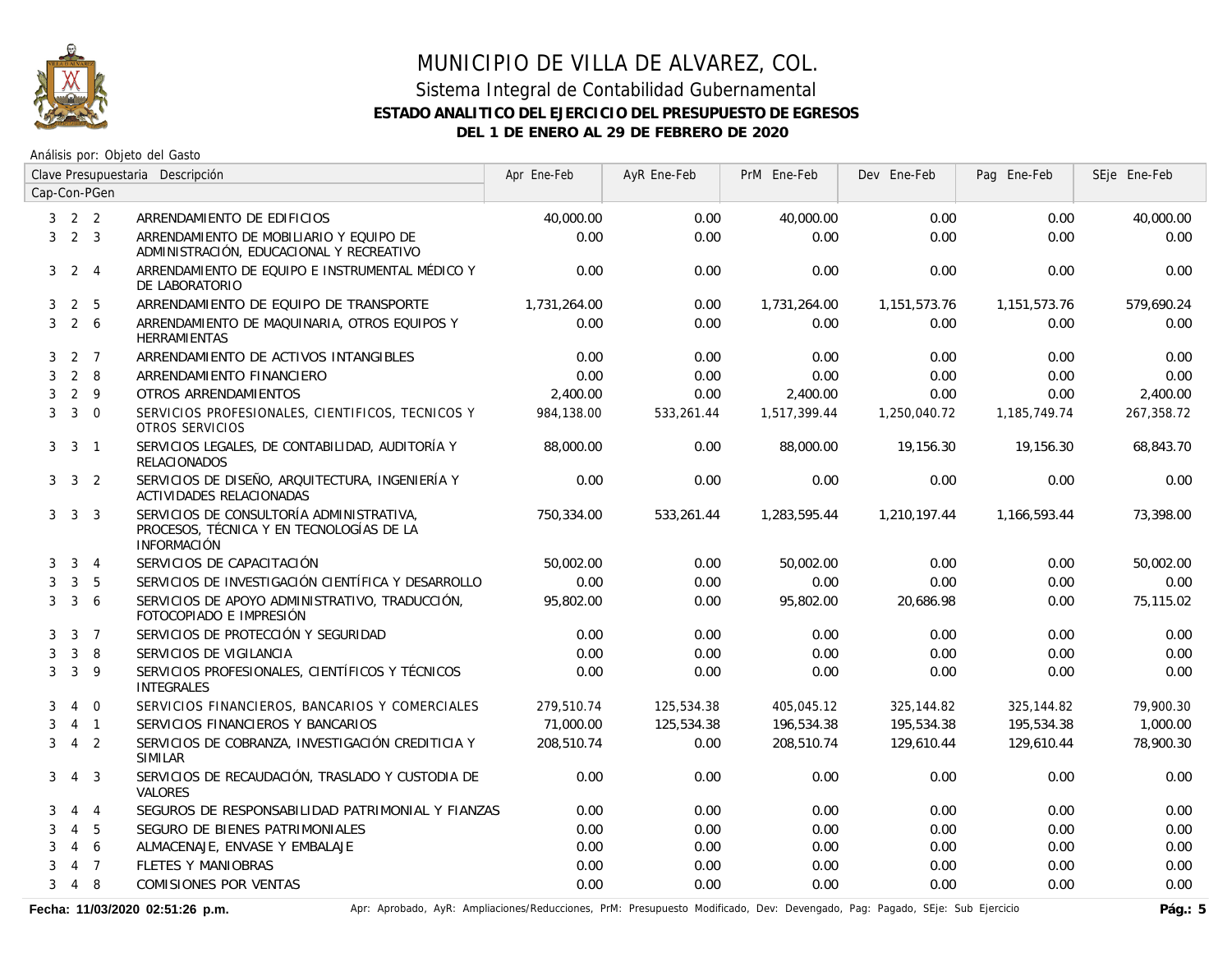

Análisis por: Objeto del Gasto

|                | Clave Presupuestaria Descripción |                |                                                                                                            | Apr Ene-Feb  | AyR Ene-Feb | PrM Ene-Feb  | Dev Ene-Feb  | Pag Ene-Feb  | SEje Ene-Feb |
|----------------|----------------------------------|----------------|------------------------------------------------------------------------------------------------------------|--------------|-------------|--------------|--------------|--------------|--------------|
|                |                                  | Cap-Con-PGen   |                                                                                                            |              |             |              |              |              |              |
|                | $3 \quad 2 \quad 2$              |                | ARRENDAMIENTO DE EDIFICIOS                                                                                 | 40,000.00    | 0.00        | 40,000.00    | 0.00         | 0.00         | 40,000.00    |
| 3              | $2 \quad 3$                      |                | ARRENDAMIENTO DE MOBILIARIO Y EQUIPO DE<br>ADMINISTRACIÓN, EDUCACIONAL Y RECREATIVO                        | 0.00         | 0.00        | 0.00         | 0.00         | 0.00         | 0.00         |
| 3 <sup>1</sup> |                                  | 2 4            | ARRENDAMIENTO DE EQUIPO E INSTRUMENTAL MÉDICO Y<br>DE LABORATORIO                                          | 0.00         | 0.00        | 0.00         | 0.00         | 0.00         | 0.00         |
| 3              | $\overline{2}$                   | 5              | ARRENDAMIENTO DE EQUIPO DE TRANSPORTE                                                                      | 1,731,264.00 | 0.00        | 1,731,264.00 | 1,151,573.76 | 1,151,573.76 | 579,690.24   |
| 3              | $2\overline{6}$                  |                | ARRENDAMIENTO DE MAQUINARIA, OTROS EQUIPOS Y<br><b>HERRAMIENTAS</b>                                        | 0.00         | 0.00        | 0.00         | 0.00         | 0.00         | 0.00         |
| 3              |                                  | 2 7            | ARRENDAMIENTO DE ACTIVOS INTANGIBLES                                                                       | 0.00         | 0.00        | 0.00         | 0.00         | 0.00         | 0.00         |
| 3              |                                  | $2 \quad 8$    | ARRENDAMIENTO FINANCIERO                                                                                   | 0.00         | 0.00        | 0.00         | 0.00         | 0.00         | 0.00         |
| 3              |                                  | $2 \quad 9$    | OTROS ARRENDAMIENTOS                                                                                       | 2,400.00     | 0.00        | 2,400.00     | 0.00         | 0.00         | 2,400.00     |
| 3              |                                  | $3 \quad 0$    | SERVICIOS PROFESIONALES, CIENTIFICOS, TECNICOS Y<br>OTROS SERVICIOS                                        | 984,138.00   | 533,261.44  | 1,517,399.44 | 1,250,040.72 | 1,185,749.74 | 267,358.72   |
|                | $3 \quad 3$                      | $\overline{1}$ | SERVICIOS LEGALES, DE CONTABILIDAD, AUDITORÍA Y<br><b>RELACIONADOS</b>                                     | 88,000.00    | 0.00        | 88,000.00    | 19,156.30    | 19,156.30    | 68.843.70    |
|                | $3 \quad 3 \quad 2$              |                | SERVICIOS DE DISEÑO, ARQUITECTURA, INGENIERÍA Y<br><b>ACTIVIDADES RELACIONADAS</b>                         | 0.00         | 0.00        | 0.00         | 0.00         | 0.00         | 0.00         |
|                | $3 \quad 3 \quad 3$              |                | SERVICIOS DE CONSULTORÍA ADMINISTRATIVA,<br>PROCESOS, TÉCNICA Y EN TECNOLOGÍAS DE LA<br><b>INFORMACIÓN</b> | 750,334.00   | 533,261.44  | 1,283,595.44 | 1,210,197.44 | 1,166,593.44 | 73,398.00    |
| 3              | $\mathbf{3}$                     | $\overline{4}$ | SERVICIOS DE CAPACITACIÓN                                                                                  | 50,002.00    | 0.00        | 50,002.00    | 0.00         | 0.00         | 50,002.00    |
| 3              | 3                                | 5              | SERVICIOS DE INVESTIGACIÓN CIENTÍFICA Y DESARROLLO                                                         | 0.00         | 0.00        | 0.00         | 0.00         | 0.00         | 0.00         |
| 3              | $\mathbf{3}$                     | 6              | SERVICIOS DE APOYO ADMINISTRATIVO, TRADUCCIÓN,<br>FOTOCOPIADO E IMPRESIÓN                                  | 95,802.00    | 0.00        | 95,802.00    | 20,686.98    | 0.00         | 75.115.02    |
| 3              |                                  | 3 <sub>7</sub> | SERVICIOS DE PROTECCIÓN Y SEGURIDAD                                                                        | 0.00         | 0.00        | 0.00         | 0.00         | 0.00         | 0.00         |
| 3              | $\mathbf{3}$                     | 8              | SERVICIOS DE VIGILANCIA                                                                                    | 0.00         | 0.00        | 0.00         | 0.00         | 0.00         | 0.00         |
| 3              | $\mathbf{3}$                     | 9              | SERVICIOS PROFESIONALES, CIENTÍFICOS Y TÉCNICOS<br><b>INTEGRALES</b>                                       | 0.00         | 0.00        | 0.00         | 0.00         | 0.00         | 0.00         |
| 3              |                                  | $4\quad 0$     | SERVICIOS FINANCIEROS, BANCARIOS Y COMERCIALES                                                             | 279.510.74   | 125,534.38  | 405,045.12   | 325,144.82   | 325,144.82   | 79.900.30    |
| 3              |                                  | $4 \quad 1$    | SERVICIOS FINANCIEROS Y BANCARIOS                                                                          | 71,000.00    | 125,534.38  | 196,534.38   | 195,534.38   | 195,534.38   | 1,000.00     |
| 3              |                                  | 4 <sub>2</sub> | SERVICIOS DE COBRANZA, INVESTIGACIÓN CREDITICIA Y<br><b>SIMILAR</b>                                        | 208,510.74   | 0.00        | 208,510.74   | 129,610.44   | 129,610.44   | 78,900.30    |
| 3              | $\overline{4}$                   | $\overline{3}$ | SERVICIOS DE RECAUDACIÓN, TRASLADO Y CUSTODIA DE<br>VALORES                                                | 0.00         | 0.00        | 0.00         | 0.00         | 0.00         | 0.00         |
| 3              | $\overline{4}$                   | $\overline{4}$ | SEGUROS DE RESPONSABILIDAD PATRIMONIAL Y FIANZAS                                                           | 0.00         | 0.00        | 0.00         | 0.00         | 0.00         | 0.00         |
| 3              | $\overline{4}$                   | 5              | SEGURO DE BIENES PATRIMONIALES                                                                             | 0.00         | 0.00        | 0.00         | 0.00         | 0.00         | 0.00         |
| 3              |                                  | 46             | ALMACENAJE, ENVASE Y EMBALAJE                                                                              | 0.00         | 0.00        | 0.00         | 0.00         | 0.00         | 0.00         |
| 3              |                                  | 4 <sub>7</sub> | <b>FLETES Y MANIOBRAS</b>                                                                                  | 0.00         | 0.00        | 0.00         | 0.00         | 0.00         | 0.00         |
| 3              |                                  | 4 8            | <b>COMISIONES POR VENTAS</b>                                                                               | 0.00         | 0.00        | 0.00         | 0.00         | 0.00         | 0.00         |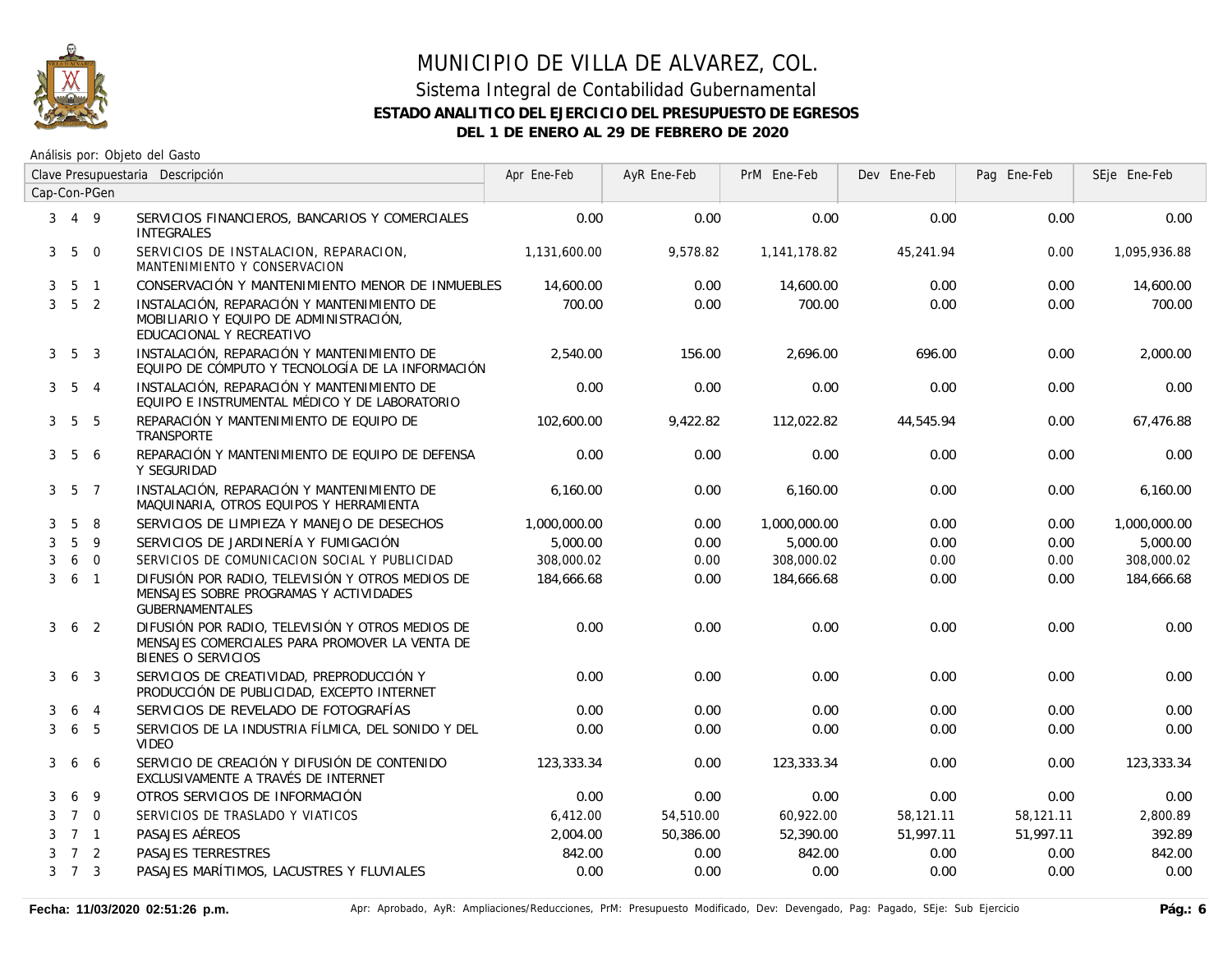

|   | Clave Presupuestaria Descripción |                |                                                                                                                          | Apr Ene-Feb  | AyR Ene-Feb | PrM Ene-Feb  | Dev Ene-Feb | Pag Ene-Feb | SEje Ene-Feb |
|---|----------------------------------|----------------|--------------------------------------------------------------------------------------------------------------------------|--------------|-------------|--------------|-------------|-------------|--------------|
|   |                                  | Cap-Con-PGen   |                                                                                                                          |              |             |              |             |             |              |
|   | $3 \t4 \t9$                      |                | SERVICIOS FINANCIEROS, BANCARIOS Y COMERCIALES<br><b>INTEGRALES</b>                                                      | 0.00         | 0.00        | 0.00         | 0.00        | 0.00        | 0.00         |
|   | $3\quad 5$                       | $\overline{0}$ | SERVICIOS DE INSTALACION, REPARACION,<br>MANTENIMIENTO Y CONSERVACION                                                    | 1,131,600.00 | 9,578.82    | 1,141,178.82 | 45,241.94   | 0.00        | 1,095,936.88 |
| 3 | 5 <sub>1</sub>                   |                | CONSERVACIÓN Y MANTENIMIENTO MENOR DE INMUEBLES                                                                          | 14,600.00    | 0.00        | 14,600.00    | 0.00        | 0.00        | 14,600.00    |
|   | $3\quad 5\quad 2$                |                | INSTALACIÓN, REPARACIÓN Y MANTENIMIENTO DE<br>MOBILIARIO Y EQUIPO DE ADMINISTRACIÓN,<br>EDUCACIONAL Y RECREATIVO         | 700.00       | 0.00        | 700.00       | 0.00        | 0.00        | 700.00       |
|   | $3\quad 5\quad 3$                |                | INSTALACIÓN, REPARACIÓN Y MANTENIMIENTO DE<br>EQUIPO DE CÓMPUTO Y TECNOLOGÍA DE LA INFORMACIÓN                           | 2,540.00     | 156.00      | 2.696.00     | 696.00      | 0.00        | 2,000.00     |
|   | 3 <sub>5</sub>                   | $\overline{4}$ | INSTALACIÓN, REPARACIÓN Y MANTENIMIENTO DE<br>EQUIPO E INSTRUMENTAL MÉDICO Y DE LABORATORIO                              | 0.00         | 0.00        | 0.00         | 0.00        | 0.00        | 0.00         |
|   | $3\quad 5\quad 5$                |                | REPARACIÓN Y MANTENIMIENTO DE EQUIPO DE<br>TRANSPORTE                                                                    | 102,600.00   | 9,422.82    | 112,022.82   | 44,545.94   | 0.00        | 67,476.88    |
| 3 | 5                                | 6              | REPARACIÓN Y MANTENIMIENTO DE EQUIPO DE DEFENSA<br>Y SEGURIDAD                                                           | 0.00         | 0.00        | 0.00         | 0.00        | 0.00        | 0.00         |
|   | $3\quad 5\quad 7$                |                | INSTALACIÓN, REPARACIÓN Y MANTENIMIENTO DE<br>MAQUINARIA, OTROS EQUIPOS Y HERRAMIENTA                                    | 6.160.00     | 0.00        | 6,160.00     | 0.00        | 0.00        | 6,160.00     |
| 3 | 5                                | 8              | SERVICIOS DE LIMPIEZA Y MANEJO DE DESECHOS                                                                               | 1,000,000.00 | 0.00        | 1,000,000.00 | 0.00        | 0.00        | 1,000,000.00 |
| 3 | 5                                | 9              | SERVICIOS DE JARDINERÍA Y FUMIGACIÓN                                                                                     | 5,000.00     | 0.00        | 5,000.00     | 0.00        | 0.00        | 5,000.00     |
| 3 | 6                                | $\overline{0}$ | SERVICIOS DE COMUNICACION SOCIAL Y PUBLICIDAD                                                                            | 308,000.02   | 0.00        | 308,000.02   | 0.00        | 0.00        | 308,000.02   |
|   | $3\quad 6\quad 1$                |                | DIFUSIÓN POR RADIO, TELEVISIÓN Y OTROS MEDIOS DE<br>MENSAJES SOBRE PROGRAMAS Y ACTIVIDADES<br><b>GUBERNAMENTALES</b>     | 184,666.68   | 0.00        | 184,666.68   | 0.00        | 0.00        | 184,666.68   |
|   | $3\quad 6\quad 2$                |                | DIFUSIÓN POR RADIO, TELEVISIÓN Y OTROS MEDIOS DE<br>MENSAJES COMERCIALES PARA PROMOVER LA VENTA DE<br>BIENES O SERVICIOS | 0.00         | 0.00        | 0.00         | 0.00        | 0.00        | 0.00         |
| 3 | 6                                | $\overline{3}$ | SERVICIOS DE CREATIVIDAD, PREPRODUCCIÓN Y<br>PRODUCCIÓN DE PUBLICIDAD, EXCEPTO INTERNET                                  | 0.00         | 0.00        | 0.00         | 0.00        | 0.00        | 0.00         |
| 3 | 6 <sub>4</sub>                   |                | SERVICIOS DE REVELADO DE FOTOGRAFÍAS                                                                                     | 0.00         | 0.00        | 0.00         | 0.00        | 0.00        | 0.00         |
| 3 | 6                                | 5              | SERVICIOS DE LA INDUSTRIA FÍLMICA, DEL SONIDO Y DEL<br><b>VIDEO</b>                                                      | 0.00         | 0.00        | 0.00         | 0.00        | 0.00        | 0.00         |
| 3 | 6                                | 6              | SERVICIO DE CREACIÓN Y DIFUSIÓN DE CONTENIDO<br>EXCLUSIVAMENTE A TRAVÉS DE INTERNET                                      | 123,333.34   | 0.00        | 123,333.34   | 0.00        | 0.00        | 123,333.34   |
| 3 | 6                                | 9              | OTROS SERVICIOS DE INFORMACIÓN                                                                                           | 0.00         | 0.00        | 0.00         | 0.00        | 0.00        | 0.00         |
| 3 | 7 0                              |                | SERVICIOS DE TRASLADO Y VIATICOS                                                                                         | 6,412.00     | 54,510.00   | 60,922.00    | 58,121.11   | 58,121.11   | 2,800.89     |
|   | $3 \quad 7 \quad 1$              |                | PASAJES AÉREOS                                                                                                           | 2,004.00     | 50,386.00   | 52,390.00    | 51,997.11   | 51,997.11   | 392.89       |
|   | $3 \quad 7 \quad 2$              |                | PASAJES TERRESTRES                                                                                                       | 842.00       | 0.00        | 842.00       | 0.00        | 0.00        | 842.00       |
|   | $3 \quad 7 \quad 3$              |                | PASAJES MARÍTIMOS, LACUSTRES Y FLUVIALES                                                                                 | 0.00         | 0.00        | 0.00         | 0.00        | 0.00        | 0.00         |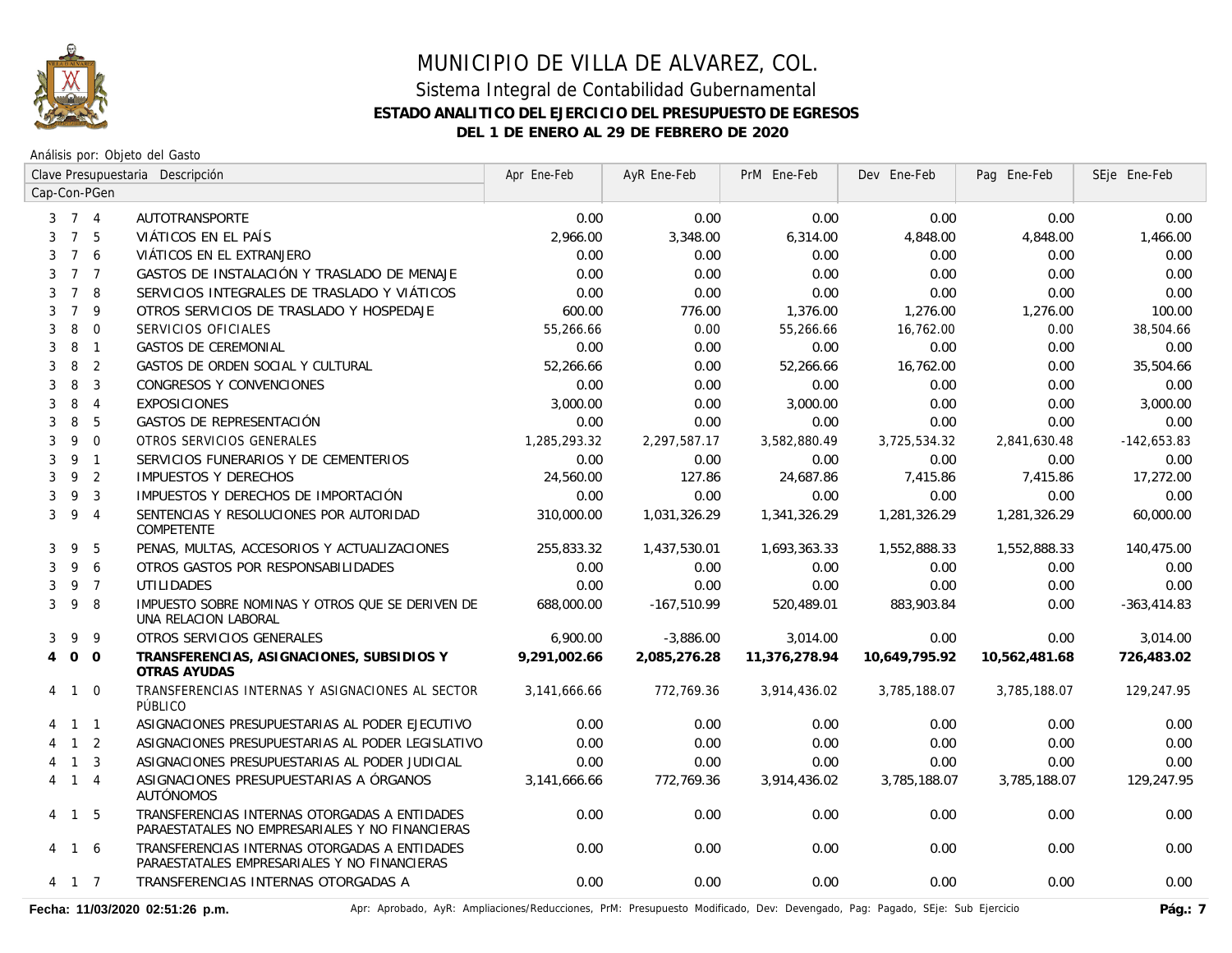

Análisis por: Objeto del Gasto

|                     | Clave Presupuestaria Descripción |                |                                                                                                  | Apr Ene-Feb  | AyR Ene-Feb   | PrM Ene-Feb   | Dev Ene-Feb   | Pag Ene-Feb   | SEje Ene-Feb  |
|---------------------|----------------------------------|----------------|--------------------------------------------------------------------------------------------------|--------------|---------------|---------------|---------------|---------------|---------------|
| Cap-Con-PGen        |                                  |                |                                                                                                  |              |               |               |               |               |               |
| $3 \quad 7 \quad 4$ |                                  |                | AUTOTRANSPORTE                                                                                   | 0.00         | 0.00          | 0.00          | 0.00          | 0.00          | 0.00          |
| 3                   | 7 5                              |                | VIÁTICOS EN EL PAÍS                                                                              | 2,966.00     | 3,348.00      | 6,314.00      | 4,848.00      | 4,848.00      | 1,466.00      |
| 3                   | $7^{\circ}$                      | 6              | VIÁTICOS EN EL EXTRANJERO                                                                        | 0.00         | 0.00          | 0.00          | 0.00          | 0.00          | 0.00          |
| 3                   | 7 <sub>7</sub>                   |                | GASTOS DE INSTALACIÓN Y TRASLADO DE MENAJE                                                       | 0.00         | 0.00          | 0.00          | 0.00          | 0.00          | 0.00          |
| 3                   | 7 8                              |                | SERVICIOS INTEGRALES DE TRASLADO Y VIÁTICOS                                                      | 0.00         | 0.00          | 0.00          | 0.00          | 0.00          | 0.00          |
| 3                   | $\overline{7}$                   | 9              | OTROS SERVICIOS DE TRASLADO Y HOSPEDAJE                                                          | 600.00       | 776.00        | 1,376.00      | 1,276.00      | 1,276.00      | 100.00        |
| 3                   | 8                                | $\mathbf{0}$   | SERVICIOS OFICIALES                                                                              | 55,266.66    | 0.00          | 55,266.66     | 16,762.00     | 0.00          | 38,504.66     |
| 3                   | 8                                | $\overline{1}$ | <b>GASTOS DE CEREMONIAL</b>                                                                      | 0.00         | 0.00          | 0.00          | 0.00          | 0.00          | 0.00          |
| 3                   | 8                                | $\overline{2}$ | GASTOS DE ORDEN SOCIAL Y CULTURAL                                                                | 52,266.66    | 0.00          | 52,266.66     | 16,762.00     | 0.00          | 35,504.66     |
| 3                   | 8                                | $\overline{3}$ | CONGRESOS Y CONVENCIONES                                                                         | 0.00         | 0.00          | 0.00          | 0.00          | 0.00          | 0.00          |
| 3                   | 8                                | $\overline{4}$ | <b>EXPOSICIONES</b>                                                                              | 3,000.00     | 0.00          | 3,000.00      | 0.00          | 0.00          | 3,000.00      |
| 3                   | 8                                | 5              | <b>GASTOS DE REPRESENTACIÓN</b>                                                                  | 0.00         | 0.00          | 0.00          | 0.00          | 0.00          | 0.00          |
| 3                   | 9                                | $\mathbf{0}$   | OTROS SERVICIOS GENERALES                                                                        | 1,285,293.32 | 2,297,587.17  | 3,582,880.49  | 3,725,534.32  | 2,841,630.48  | $-142,653.83$ |
| 3                   | 9                                | $\overline{1}$ | SERVICIOS FUNERARIOS Y DE CEMENTERIOS                                                            | 0.00         | 0.00          | 0.00          | 0.00          | 0.00          | 0.00          |
| 3                   | 9                                | $\overline{2}$ | <b>IMPUESTOS Y DERECHOS</b>                                                                      | 24,560.00    | 127.86        | 24,687.86     | 7,415.86      | 7,415.86      | 17,272.00     |
| 3                   | 9                                | $\overline{3}$ | IMPUESTOS Y DERECHOS DE IMPORTACIÓN                                                              | 0.00         | 0.00          | 0.00          | 0.00          | 0.00          | 0.00          |
| 3                   | 9                                | $\overline{4}$ | SENTENCIAS Y RESOLUCIONES POR AUTORIDAD<br><b>COMPETENTE</b>                                     | 310,000.00   | 1,031,326.29  | 1,341,326.29  | 1,281,326.29  | 1,281,326.29  | 60,000.00     |
| 3                   | 9                                | -5             | PENAS, MULTAS, ACCESORIOS Y ACTUALIZACIONES                                                      | 255,833.32   | 1,437,530.01  | 1,693,363.33  | 1,552,888.33  | 1,552,888.33  | 140,475.00    |
| 3                   | 9                                | 6              | OTROS GASTOS POR RESPONSABILIDADES                                                               | 0.00         | 0.00          | 0.00          | 0.00          | 0.00          | 0.00          |
| 3                   | 9 7                              |                | <b>UTILIDADES</b>                                                                                | 0.00         | 0.00          | 0.00          | 0.00          | 0.00          | 0.00          |
| 3                   | 9                                | -8             | IMPUESTO SOBRE NOMINAS Y OTROS QUE SE DERIVEN DE<br>UNA RELACION LABORAL                         | 688,000.00   | $-167,510.99$ | 520,489.01    | 883,903.84    | 0.00          | $-363,414.83$ |
| 3                   | 9                                | 9              | OTROS SERVICIOS GENERALES                                                                        | 6,900.00     | $-3,886.00$   | 3,014.00      | 0.00          | 0.00          | 3.014.00      |
| $\overline{4}$      | $0\quad 0$                       |                | TRANSFERENCIAS, ASIGNACIONES, SUBSIDIOS Y<br>OTRAS AYUDAS                                        | 9.291.002.66 | 2,085,276.28  | 11,376,278.94 | 10,649,795.92 | 10,562,481.68 | 726,483.02    |
| 4 1                 |                                  | $\overline{0}$ | TRANSFERENCIAS INTERNAS Y ASIGNACIONES AL SECTOR<br>PÚBLICO                                      | 3,141,666.66 | 772,769.36    | 3,914,436.02  | 3,785,188.07  | 3,785,188.07  | 129,247.95    |
| 4 1 1               |                                  |                | ASIGNACIONES PRESUPUESTARIAS AL PODER EJECUTIVO                                                  | 0.00         | 0.00          | 0.00          | 0.00          | 0.00          | 0.00          |
|                     | $1\quad 2$                       |                | ASIGNACIONES PRESUPUESTARIAS AL PODER LEGISLATIVO                                                | 0.00         | 0.00          | 0.00          | 0.00          | 0.00          | 0.00          |
|                     | 1 <sup>3</sup>                   |                | ASIGNACIONES PRESUPUESTARIAS AL PODER JUDICIAL                                                   | 0.00         | 0.00          | 0.00          | 0.00          | 0.00          | 0.00          |
| 4 1                 |                                  | $\overline{4}$ | ASIGNACIONES PRESUPUESTARIAS A ÓRGANOS<br><b>AUTÓNOMOS</b>                                       | 3,141,666.66 | 772,769.36    | 3,914,436.02  | 3,785,188.07  | 3,785,188.07  | 129,247.95    |
| 4 1 5               |                                  |                | TRANSFERENCIAS INTERNAS OTORGADAS A ENTIDADES<br>PARAESTATALES NO EMPRESARIALES Y NO FINANCIERAS | 0.00         | 0.00          | 0.00          | 0.00          | 0.00          | 0.00          |
| 4 1 6               |                                  |                | TRANSFERENCIAS INTERNAS OTORGADAS A ENTIDADES<br>PARAESTATALES EMPRESARIALES Y NO FINANCIERAS    | 0.00         | 0.00          | 0.00          | 0.00          | 0.00          | 0.00          |
| 4 1 7               |                                  |                | TRANSFERENCIAS INTERNAS OTORGADAS A                                                              | 0.00         | 0.00          | 0.00          | 0.00          | 0.00          | 0.00          |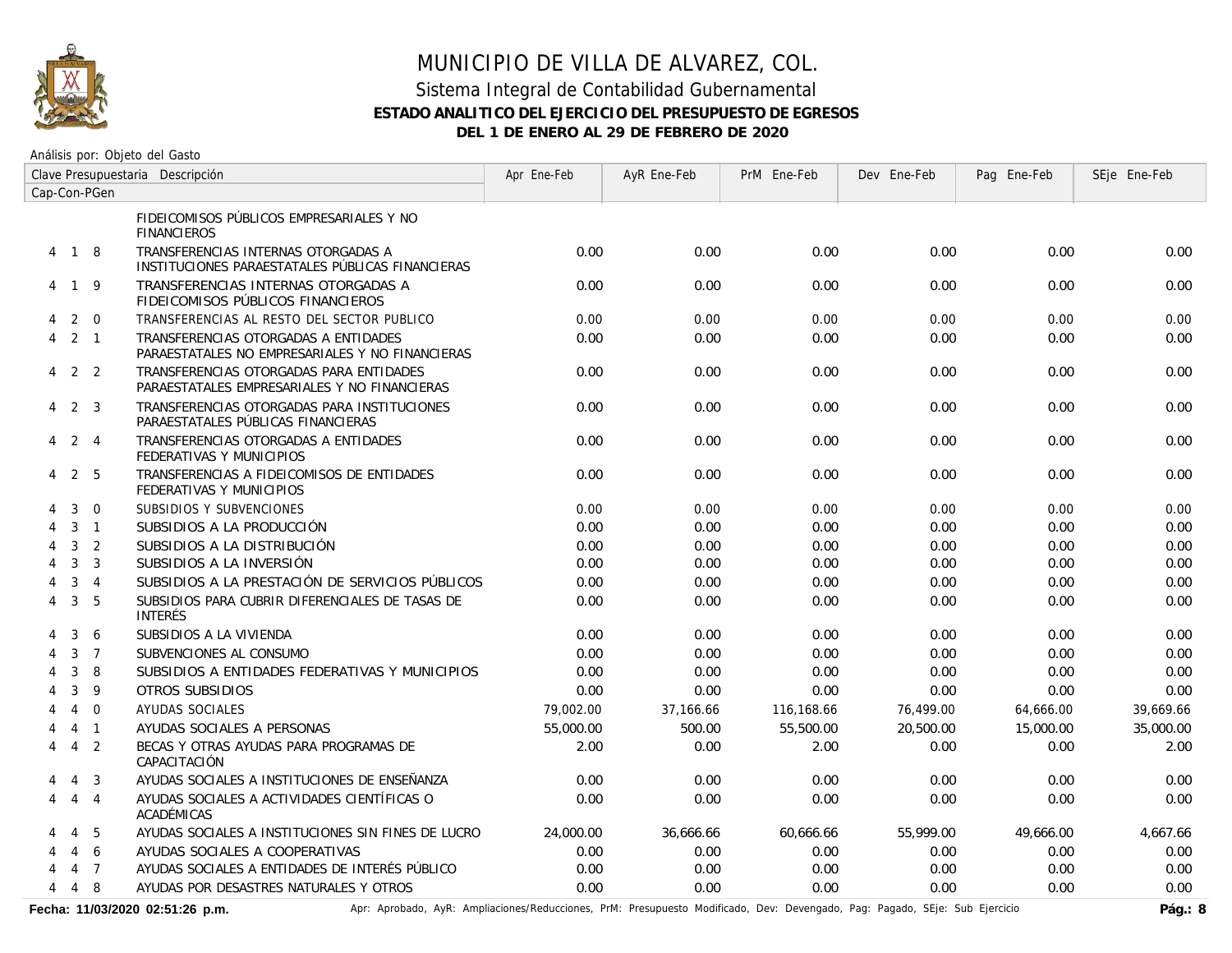

Análisis por: Objeto del Gasto

|   | Clave Presupuestaria Descripción |                |                                                                                         | Apr Ene-Feb | AyR Ene-Feb | PrM Ene-Feb | Dev Ene-Feb | Pag Ene-Feb | SEje Ene-Feb |
|---|----------------------------------|----------------|-----------------------------------------------------------------------------------------|-------------|-------------|-------------|-------------|-------------|--------------|
|   |                                  | Cap-Con-PGen   |                                                                                         |             |             |             |             |             |              |
|   |                                  |                | FIDEICOMISOS PÚBLICOS EMPRESARIALES Y NO<br><b>FINANCIEROS</b>                          |             |             |             |             |             |              |
|   | 4 1 8                            |                | TRANSFERENCIAS INTERNAS OTORGADAS A<br>INSTITUCIONES PARAESTATALES PÚBLICAS FINANCIERAS | 0.00        | 0.00        | 0.00        | 0.00        | 0.00        | 0.00         |
|   | 4 1 9                            |                | TRANSFERENCIAS INTERNAS OTORGADAS A<br>FIDEICOMISOS PÚBLICOS FINANCIEROS                | 0.00        | 0.00        | 0.00        | 0.00        | 0.00        | 0.00         |
| 4 |                                  | $2 \quad 0$    | TRANSFERENCIAS AL RESTO DEL SECTOR PUBLICO                                              | 0.00        | 0.00        | 0.00        | 0.00        | 0.00        | 0.00         |
| 4 | $2 \quad 1$                      |                | TRANSFERENCIAS OTORGADAS A ENTIDADES<br>PARAESTATALES NO EMPRESARIALES Y NO FINANCIERAS | 0.00        | 0.00        | 0.00        | 0.00        | 0.00        | 0.00         |
| 4 |                                  | 2 2            | TRANSFERENCIAS OTORGADAS PARA ENTIDADES<br>PARAESTATALES EMPRESARIALES Y NO FINANCIERAS | 0.00        | 0.00        | 0.00        | 0.00        | 0.00        | 0.00         |
| 4 |                                  | 2 3            | TRANSFERENCIAS OTORGADAS PARA INSTITUCIONES<br>PARAESTATALES PÚBLICAS FINANCIERAS       | 0.00        | 0.00        | 0.00        | 0.00        | 0.00        | 0.00         |
| 4 | 2 4                              |                | TRANSFERENCIAS OTORGADAS A ENTIDADES<br>FEDERATIVAS Y MUNICIPIOS                        | 0.00        | 0.00        | 0.00        | 0.00        | 0.00        | 0.00         |
| 4 |                                  | 2 5            | TRANSFERENCIAS A FIDEICOMISOS DE ENTIDADES<br>FEDERATIVAS Y MUNICIPIOS                  | 0.00        | 0.00        | 0.00        | 0.00        | 0.00        | 0.00         |
| 4 | 3                                | $\overline{0}$ | SUBSIDIOS Y SUBVENCIONES                                                                | 0.00        | 0.00        | 0.00        | 0.00        | 0.00        | 0.00         |
| 4 |                                  | $3 \quad 1$    | SUBSIDIOS A LA PRODUCCIÓN                                                               | 0.00        | 0.00        | 0.00        | 0.00        | 0.00        | 0.00         |
| 4 | 3                                | 2              | SUBSIDIOS A LA DISTRIBUCIÓN                                                             | 0.00        | 0.00        | 0.00        | 0.00        | 0.00        | 0.00         |
|   | 3                                | $\overline{3}$ | SUBSIDIOS A LA INVERSIÓN                                                                | 0.00        | 0.00        | 0.00        | 0.00        | 0.00        | 0.00         |
|   | 3                                | $\overline{4}$ | SUBSIDIOS A LA PRESTACIÓN DE SERVICIOS PÚBLICOS                                         | 0.00        | 0.00        | 0.00        | 0.00        | 0.00        | 0.00         |
| 4 | $\mathbf{3}$                     | 5              | SUBSIDIOS PARA CUBRIR DIFERENCIALES DE TASAS DE<br><b>INTERÉS</b>                       | 0.00        | 0.00        | 0.00        | 0.00        | 0.00        | 0.00         |
| 4 | 3                                | 6              | SUBSIDIOS A LA VIVIENDA                                                                 | 0.00        | 0.00        | 0.00        | 0.00        | 0.00        | 0.00         |
| 4 | 3                                | $\overline{7}$ | SUBVENCIONES AL CONSUMO                                                                 | 0.00        | 0.00        | 0.00        | 0.00        | 0.00        | 0.00         |
|   | 3                                | 8              | SUBSIDIOS A ENTIDADES FEDERATIVAS Y MUNICIPIOS                                          | 0.00        | 0.00        | 0.00        | 0.00        | 0.00        | 0.00         |
|   | 3                                | -9             | OTROS SUBSIDIOS                                                                         | 0.00        | 0.00        | 0.00        | 0.00        | 0.00        | 0.00         |
|   | $\overline{4}$                   | $\Omega$       | <b>AYUDAS SOCIALES</b>                                                                  | 79,002.00   | 37,166.66   | 116,168.66  | 76,499.00   | 64,666.00   | 39,669.66    |
| 4 | 4                                | $\sqrt{1}$     | AYUDAS SOCIALES A PERSONAS                                                              | 55,000.00   | 500.00      | 55,500.00   | 20,500.00   | 15,000.00   | 35,000.00    |
| 4 |                                  | 4 <sub>2</sub> | BECAS Y OTRAS AYUDAS PARA PROGRAMAS DE<br>CAPACITACIÓN                                  | 2.00        | 0.00        | 2.00        | 0.00        | 0.00        | 2.00         |
|   | 4                                | $\overline{3}$ | AYUDAS SOCIALES A INSTITUCIONES DE ENSEÑANZA                                            | 0.00        | 0.00        | 0.00        | 0.00        | 0.00        | 0.00         |
| 4 |                                  | 4 4            | AYUDAS SOCIALES A ACTIVIDADES CIENTÍFICAS O<br>ACADÉMICAS                               | 0.00        | 0.00        | 0.00        | 0.00        | 0.00        | 0.00         |
|   | 4                                | 5              | AYUDAS SOCIALES A INSTITUCIONES SIN FINES DE LUCRO                                      | 24,000.00   | 36,666.66   | 60,666.66   | 55,999.00   | 49,666.00   | 4,667.66     |
|   | $\overline{4}$                   | 6              | AYUDAS SOCIALES A COOPERATIVAS                                                          | 0.00        | 0.00        | 0.00        | 0.00        | 0.00        | 0.00         |
|   |                                  | 4 <sub>7</sub> | AYUDAS SOCIALES A ENTIDADES DE INTERÉS PÚBLICO                                          | 0.00        | 0.00        | 0.00        | 0.00        | 0.00        | 0.00         |
| 4 |                                  | 4 8            | AYUDAS POR DESASTRES NATURALES Y OTROS                                                  | 0.00        | 0.00        | 0.00        | 0.00        | 0.00        | 0.00         |

Fecha: 11/03/2020 02:51:26 p.m. **Aprichationes/Reducciones, PrM: Presupuesto Modificado**, Dev: Devengado, Pag: Pagado, SEje: Sub Ejercicio Pág.: 8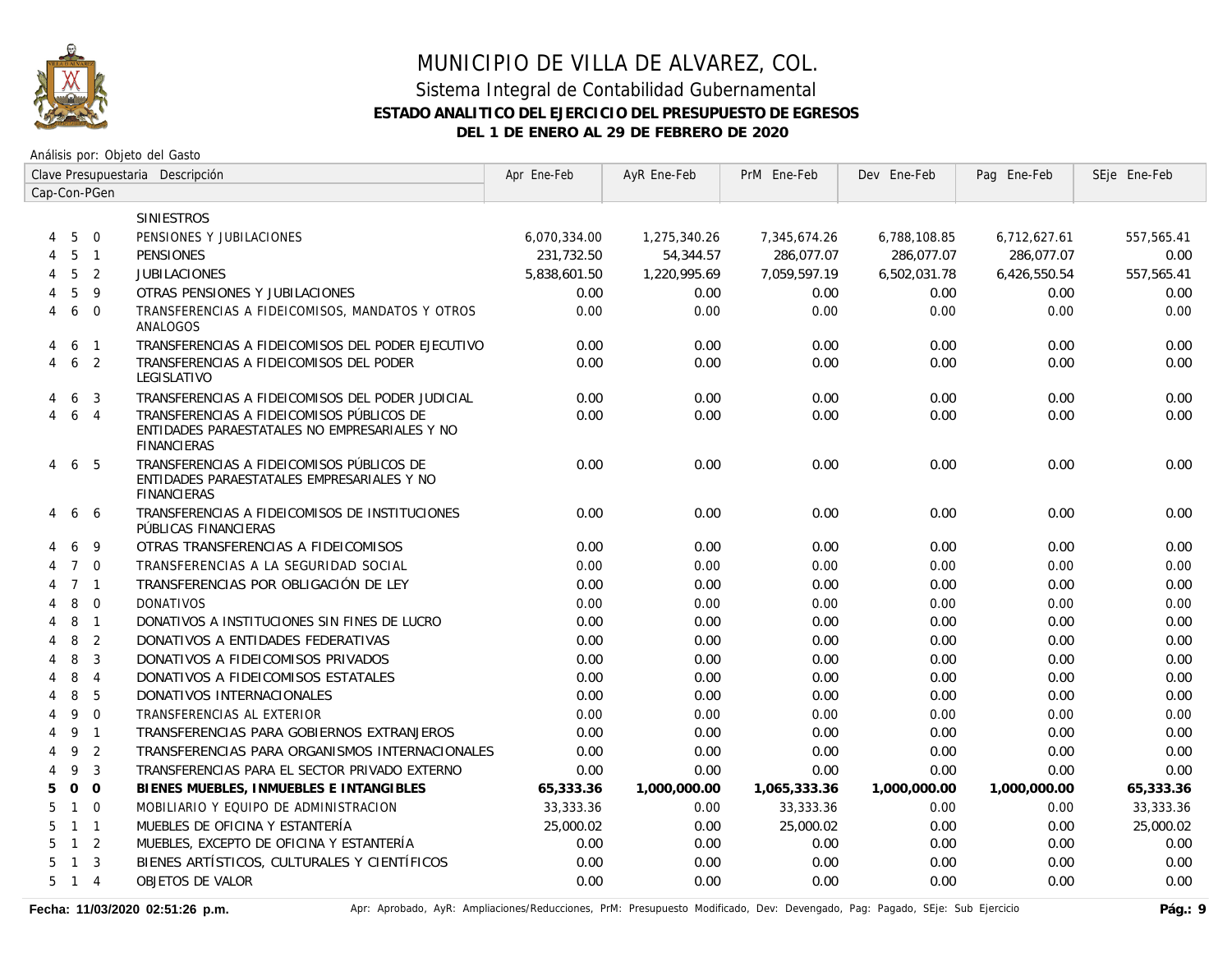

Análisis por: Objeto del Gasto

|                     | Clave Presupuestaria Descripción |  |                                                                                                                  | Apr Ene-Feb  | AyR Ene-Feb  | PrM Ene-Feb  | Dev Ene-Feb  | Pag Ene-Feb  | SEje Ene-Feb |
|---------------------|----------------------------------|--|------------------------------------------------------------------------------------------------------------------|--------------|--------------|--------------|--------------|--------------|--------------|
| Cap-Con-PGen        |                                  |  |                                                                                                                  |              |              |              |              |              |              |
|                     |                                  |  | <b>SINIESTROS</b>                                                                                                |              |              |              |              |              |              |
| 5<br>4              | $\overline{0}$                   |  | PENSIONES Y JUBILACIONES                                                                                         | 6,070,334.00 | 1,275,340.26 | 7,345,674.26 | 6,788,108.85 | 6,712,627.61 | 557,565.41   |
| 5<br>4              | $\overline{1}$                   |  | <b>PENSIONES</b>                                                                                                 | 231,732.50   | 54,344.57    | 286,077.07   | 286,077.07   | 286,077.07   | 0.00         |
| 5<br>4              | 2                                |  | <b>JUBILACIONES</b>                                                                                              | 5,838,601.50 | 1,220,995.69 | 7,059,597.19 | 6,502,031.78 | 6,426,550.54 | 557,565.41   |
| 5                   | 9                                |  | OTRAS PENSIONES Y JUBILACIONES                                                                                   | 0.00         | 0.00         | 0.00         | 0.00         | 0.00         | 0.00         |
| 6<br>4              | $\Omega$                         |  | TRANSFERENCIAS A FIDEICOMISOS, MANDATOS Y OTROS<br>ANALOGOS                                                      | 0.00         | 0.00         | 0.00         | 0.00         | 0.00         | 0.00         |
| 6<br>4              | $\overline{1}$                   |  | TRANSFERENCIAS A FIDEICOMISOS DEL PODER EJECUTIVO                                                                | 0.00         | 0.00         | 0.00         | 0.00         | 0.00         | 0.00         |
| 4                   | 6 <sub>2</sub>                   |  | TRANSFERENCIAS A FIDEICOMISOS DEL PODER<br>LEGISLATIVO                                                           | 0.00         | 0.00         | 0.00         | 0.00         | 0.00         | 0.00         |
| 6<br>4              | $\mathbf{3}$                     |  | TRANSFERENCIAS A FIDEICOMISOS DEL PODER JUDICIAL                                                                 | 0.00         | 0.00         | 0.00         | 0.00         | 0.00         | 0.00         |
| 4                   | 6 4                              |  | TRANSFERENCIAS A FIDEICOMISOS PÚBLICOS DE<br>ENTIDADES PARAESTATALES NO EMPRESARIALES Y NO<br><b>FINANCIERAS</b> | 0.00         | 0.00         | 0.00         | 0.00         | 0.00         | 0.00         |
| 4                   | 6 5                              |  | TRANSFERENCIAS A FIDEICOMISOS PÚBLICOS DE<br>ENTIDADES PARAESTATALES EMPRESARIALES Y NO<br><b>FINANCIERAS</b>    | 0.00         | 0.00         | 0.00         | 0.00         | 0.00         | 0.00         |
|                     | 6<br>6                           |  | TRANSFERENCIAS A FIDEICOMISOS DE INSTITUCIONES<br>PÚBLICAS FINANCIERAS                                           | 0.00         | 0.00         | 0.00         | 0.00         | 0.00         | 0.00         |
| 6                   | 9                                |  | OTRAS TRANSFERENCIAS A FIDEICOMISOS                                                                              | 0.00         | 0.00         | 0.00         | 0.00         | 0.00         | 0.00         |
|                     | $7\quad$ 0                       |  | TRANSFERENCIAS A LA SEGURIDAD SOCIAL                                                                             | 0.00         | 0.00         | 0.00         | 0.00         | 0.00         | 0.00         |
|                     | $7 \quad 1$                      |  | TRANSFERENCIAS POR OBLIGACIÓN DE LEY                                                                             | 0.00         | 0.00         | 0.00         | 0.00         | 0.00         | 0.00         |
| 8                   | $\overline{0}$                   |  | <b>DONATIVOS</b>                                                                                                 | 0.00         | 0.00         | 0.00         | 0.00         | 0.00         | 0.00         |
| 8<br>4              | $\overline{1}$                   |  | DONATIVOS A INSTITUCIONES SIN FINES DE LUCRO                                                                     | 0.00         | 0.00         | 0.00         | 0.00         | 0.00         | 0.00         |
| 8<br>4              | 2                                |  | DONATIVOS A ENTIDADES FEDERATIVAS                                                                                | 0.00         | 0.00         | 0.00         | 0.00         | 0.00         | 0.00         |
| 8<br>4              | 3                                |  | DONATIVOS A FIDEICOMISOS PRIVADOS                                                                                | 0.00         | 0.00         | 0.00         | 0.00         | 0.00         | 0.00         |
| 8                   | $\overline{4}$                   |  | DONATIVOS A FIDEICOMISOS ESTATALES                                                                               | 0.00         | 0.00         | 0.00         | 0.00         | 0.00         | 0.00         |
| 8                   | 5                                |  | DONATIVOS INTERNACIONALES                                                                                        | 0.00         | 0.00         | 0.00         | 0.00         | 0.00         | 0.00         |
| 9                   | $\Omega$                         |  | TRANSFERENCIAS AL EXTERIOR                                                                                       | 0.00         | 0.00         | 0.00         | 0.00         | 0.00         | 0.00         |
| 9<br>4              | $\overline{1}$                   |  | TRANSFERENCIAS PARA GOBIERNOS EXTRANJEROS                                                                        | 0.00         | 0.00         | 0.00         | 0.00         | 0.00         | 0.00         |
| 9<br>4              | 2                                |  | TRANSFERENCIAS PARA ORGANISMOS INTERNACIONALES                                                                   | 0.00         | 0.00         | 0.00         | 0.00         | 0.00         | 0.00         |
| 9<br>4              | $\mathbf{3}$                     |  | TRANSFERENCIAS PARA EL SECTOR PRIVADO EXTERNO                                                                    | 0.00         | 0.00         | 0.00         | 0.00         | 0.00         | 0.00         |
| 5                   | $0\quad 0$                       |  | BIENES MUEBLES, INMUEBLES E INTANGIBLES                                                                          | 65,333.36    | 1,000,000.00 | 1,065,333.36 | 1,000,000.00 | 1,000,000.00 | 65,333.36    |
| $\overline{1}$<br>5 | $\Omega$                         |  | MOBILIARIO Y EQUIPO DE ADMINISTRACION                                                                            | 33,333.36    | 0.00         | 33,333.36    | 0.00         | 0.00         | 33,333.36    |
| 5                   | $1 \quad 1$                      |  | MUEBLES DE OFICINA Y ESTANTERÍA                                                                                  | 25,000.02    | 0.00         | 25,000.02    | 0.00         | 0.00         | 25,000.02    |
| 5                   | $1\quad 2$                       |  | MUEBLES, EXCEPTO DE OFICINA Y ESTANTERÍA                                                                         | 0.00         | 0.00         | 0.00         | 0.00         | 0.00         | 0.00         |
| 5<br>$\mathbf{1}$   | $\overline{3}$                   |  | BIENES ARTÍSTICOS, CULTURALES Y CIENTÍFICOS                                                                      | 0.00         | 0.00         | 0.00         | 0.00         | 0.00         | 0.00         |
| 5                   | $1 \quad 4$                      |  | <b>OBJETOS DE VALOR</b>                                                                                          | 0.00         | 0.00         | 0.00         | 0.00         | 0.00         | 0.00         |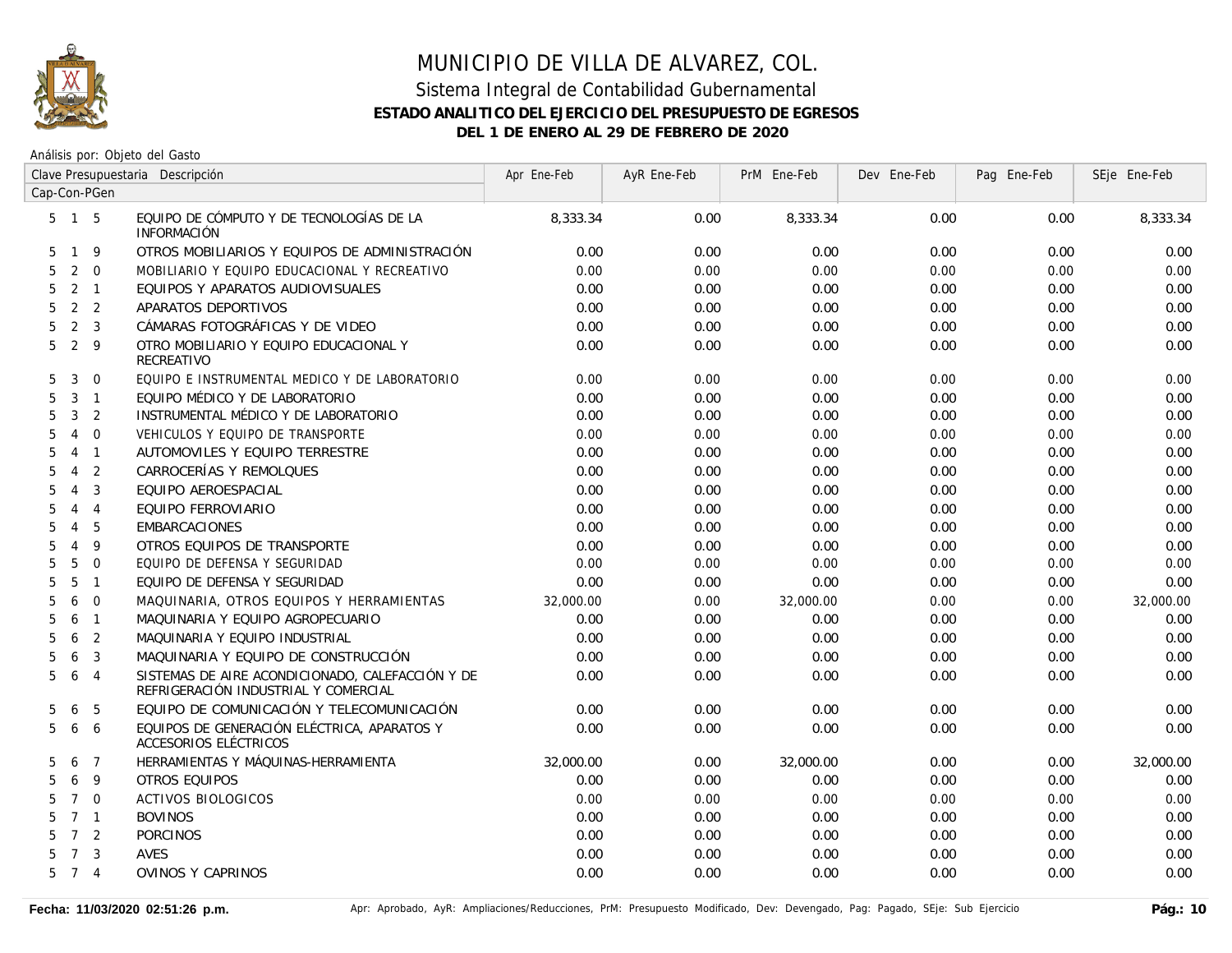

|                     | Clave Presupuestaria Descripción |                |                                                                                          | Apr Ene-Feb | AyR Ene-Feb | PrM Ene-Feb | Dev Ene-Feb | Pag Ene-Feb | SEje Ene-Feb |
|---------------------|----------------------------------|----------------|------------------------------------------------------------------------------------------|-------------|-------------|-------------|-------------|-------------|--------------|
| Cap-Con-PGen        |                                  |                |                                                                                          |             |             |             |             |             |              |
| $5 \quad 1 \quad 5$ |                                  |                | EQUIPO DE CÓMPUTO Y DE TECNOLOGÍAS DE LA<br>INFORMACIÓN                                  | 8,333.34    | 0.00        | 8,333.34    | 0.00        | 0.00        | 8,333.34     |
| 5                   | $\overline{1}$                   | 9              | OTROS MOBILIARIOS Y EQUIPOS DE ADMINISTRACIÓN                                            | 0.00        | 0.00        | 0.00        | 0.00        | 0.00        | 0.00         |
| 5                   | 2                                | $\mathbf 0$    | MOBILIARIO Y EQUIPO EDUCACIONAL Y RECREATIVO                                             | 0.00        | 0.00        | 0.00        | 0.00        | 0.00        | 0.00         |
| 5                   | $2 \quad 1$                      |                | EQUIPOS Y APARATOS AUDIOVISUALES                                                         | 0.00        | 0.00        | 0.00        | 0.00        | 0.00        | 0.00         |
| 5                   | 2                                | 2              | APARATOS DEPORTIVOS                                                                      | 0.00        | 0.00        | 0.00        | 0.00        | 0.00        | 0.00         |
| 5                   | 2                                | 3              | CÁMARAS FOTOGRÁFICAS Y DE VIDEO                                                          | 0.00        | 0.00        | 0.00        | 0.00        | 0.00        | 0.00         |
| 5                   | 2                                | 9              | OTRO MOBILIARIO Y EQUIPO EDUCACIONAL Y<br>RECREATIVO                                     | 0.00        | 0.00        | 0.00        | 0.00        | 0.00        | 0.00         |
| 5                   | 3                                | $\mathbf 0$    | EQUIPO E INSTRUMENTAL MEDICO Y DE LABORATORIO                                            | 0.00        | 0.00        | 0.00        | 0.00        | 0.00        | 0.00         |
| 5                   | 3                                | $\mathbf{1}$   | EQUIPO MÉDICO Y DE LABORATORIO                                                           | 0.00        | 0.00        | 0.00        | 0.00        | 0.00        | 0.00         |
| 5                   | 3                                | $\overline{2}$ | INSTRUMENTAL MÉDICO Y DE LABORATORIO                                                     | 0.00        | 0.00        | 0.00        | 0.00        | 0.00        | 0.00         |
| 5                   | $\overline{4}$                   | $\Omega$       | VEHICULOS Y EQUIPO DE TRANSPORTE                                                         | 0.00        | 0.00        | 0.00        | 0.00        | 0.00        | 0.00         |
| 5                   | $\overline{4}$                   | $\overline{1}$ | AUTOMOVILES Y EQUIPO TERRESTRE                                                           | 0.00        | 0.00        | 0.00        | 0.00        | 0.00        | 0.00         |
| 5                   | 4                                | 2              | CARROCERÍAS Y REMOLQUES                                                                  | 0.00        | 0.00        | 0.00        | 0.00        | 0.00        | 0.00         |
| 5                   | 4                                | 3              | EQUIPO AEROESPACIAL                                                                      | 0.00        | 0.00        | 0.00        | 0.00        | 0.00        | 0.00         |
| 5                   | 4                                | $\overline{4}$ | EQUIPO FERROVIARIO                                                                       | 0.00        | 0.00        | 0.00        | 0.00        | 0.00        | 0.00         |
| 5                   | 4                                | 5              | <b>EMBARCACIONES</b>                                                                     | 0.00        | 0.00        | 0.00        | 0.00        | 0.00        | 0.00         |
| 5                   | $\overline{4}$                   | 9              | OTROS EQUIPOS DE TRANSPORTE                                                              | 0.00        | 0.00        | 0.00        | 0.00        | 0.00        | 0.00         |
| 5                   | 5                                | $\mathbf 0$    | EQUIPO DE DEFENSA Y SEGURIDAD                                                            | 0.00        | 0.00        | 0.00        | 0.00        | 0.00        | 0.00         |
| 5                   | 5                                | $\mathbf{1}$   | EQUIPO DE DEFENSA Y SEGURIDAD                                                            | 0.00        | 0.00        | 0.00        | 0.00        | 0.00        | 0.00         |
| 5                   | 6                                | $\Omega$       | MAQUINARIA, OTROS EQUIPOS Y HERRAMIENTAS                                                 | 32,000.00   | 0.00        | 32,000.00   | 0.00        | 0.00        | 32,000.00    |
| 5                   | 6                                | $\mathbf{1}$   | MAQUINARIA Y EQUIPO AGROPECUARIO                                                         | 0.00        | 0.00        | 0.00        | 0.00        | 0.00        | 0.00         |
| 5                   | 6                                | 2              | MAQUINARIA Y EQUIPO INDUSTRIAL                                                           | 0.00        | 0.00        | 0.00        | 0.00        | 0.00        | 0.00         |
| 5                   | 6                                | 3              | MAQUINARIA Y EQUIPO DE CONSTRUCCIÓN                                                      | 0.00        | 0.00        | 0.00        | 0.00        | 0.00        | 0.00         |
| 5                   | 6                                | $\overline{4}$ | SISTEMAS DE AIRE ACONDICIONADO, CALEFACCIÓN Y DE<br>REFRIGERACIÓN INDUSTRIAL Y COMERCIAL | 0.00        | 0.00        | 0.00        | 0.00        | 0.00        | 0.00         |
| 5                   | 6                                | 5              | EQUIPO DE COMUNICACIÓN Y TELECOMUNICACIÓN                                                | 0.00        | 0.00        | 0.00        | 0.00        | 0.00        | 0.00         |
| 5                   | 6                                | 6              | EQUIPOS DE GENERACIÓN ELÉCTRICA, APARATOS Y<br>ACCESORIOS ELÉCTRICOS                     | 0.00        | 0.00        | 0.00        | 0.00        | 0.00        | 0.00         |
| 5                   | 6                                | $\overline{7}$ | HERRAMIENTAS Y MÁQUINAS-HERRAMIENTA                                                      | 32,000.00   | 0.00        | 32,000.00   | 0.00        | 0.00        | 32,000.00    |
| 5                   | 6                                | 9              | OTROS EQUIPOS                                                                            | 0.00        | 0.00        | 0.00        | 0.00        | 0.00        | 0.00         |
| 5                   | $7\overline{ }$                  | $\mathbf 0$    | <b>ACTIVOS BIOLOGICOS</b>                                                                | 0.00        | 0.00        | 0.00        | 0.00        | 0.00        | 0.00         |
| 5                   | 7 <sub>1</sub>                   |                | <b>BOVINOS</b>                                                                           | 0.00        | 0.00        | 0.00        | 0.00        | 0.00        | 0.00         |
| 5                   | $7^{\circ}$                      | 2              | <b>PORCINOS</b>                                                                          | 0.00        | 0.00        | 0.00        | 0.00        | 0.00        | 0.00         |
| 5                   | $\overline{7}$                   | 3              | <b>AVES</b>                                                                              | 0.00        | 0.00        | 0.00        | 0.00        | 0.00        | 0.00         |
| 5                   | $7\overline{ }$                  | $\overline{4}$ | <b>OVINOS Y CAPRINOS</b>                                                                 | 0.00        | 0.00        | 0.00        | 0.00        | 0.00        | 0.00         |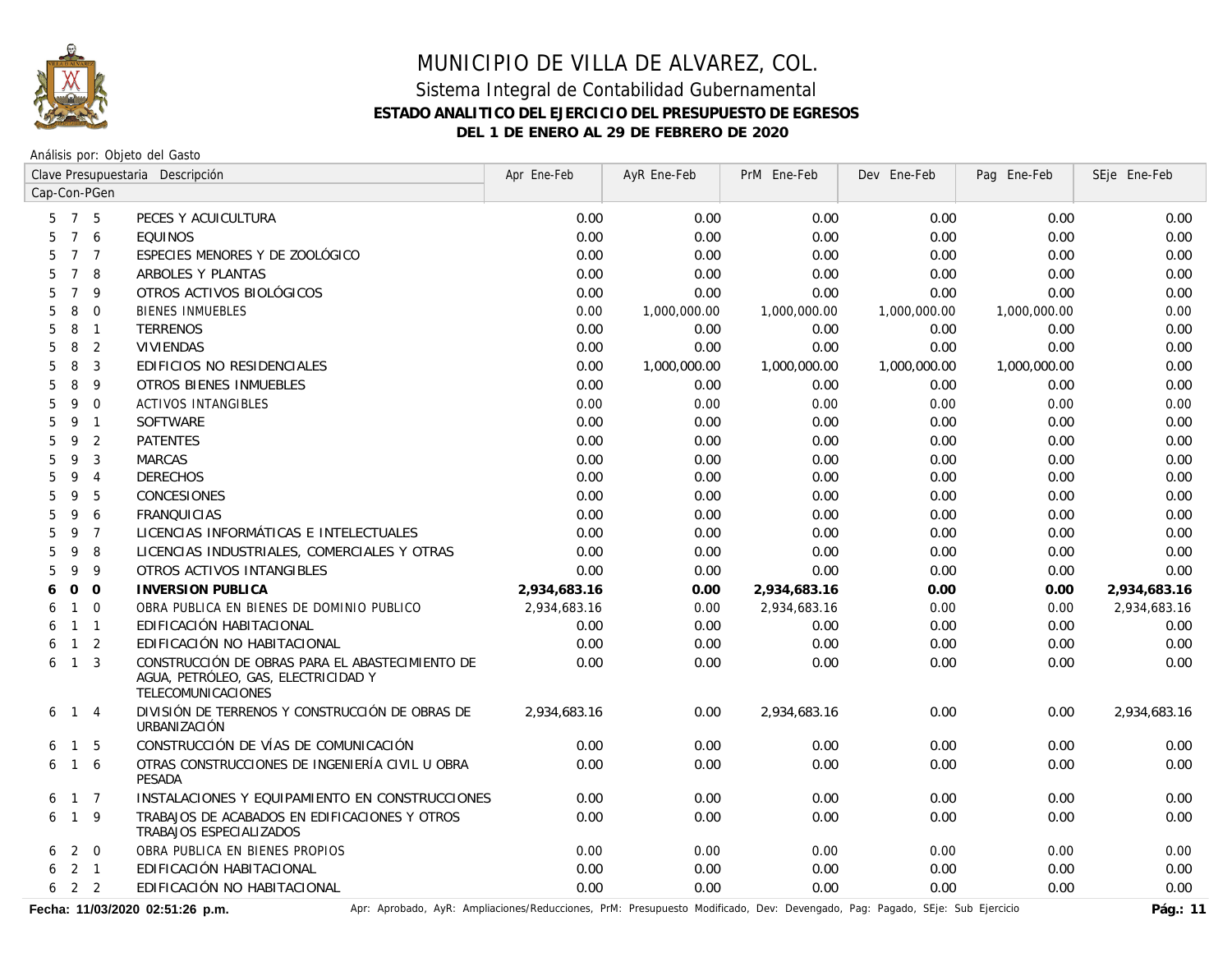

Análisis por: Objeto del Gasto

|                     | Clave Presupuestaria Descripción |                | Apr Ene-Feb                                                                                                  | AyR Ene-Feb  | PrM Ene-Feb  | Dev Ene-Feb  | Pag Ene-Feb  | SEje Ene-Feb |              |
|---------------------|----------------------------------|----------------|--------------------------------------------------------------------------------------------------------------|--------------|--------------|--------------|--------------|--------------|--------------|
| Cap-Con-PGen        |                                  |                |                                                                                                              |              |              |              |              |              |              |
| $5 \quad 7 \quad 5$ |                                  |                | PECES Y ACUICULTURA                                                                                          | 0.00         | 0.00         | 0.00         | 0.00         | 0.00         | 0.00         |
|                     |                                  | 7 6            | <b>EQUINOS</b>                                                                                               | 0.00         | 0.00         | 0.00         | 0.00         | 0.00         | 0.00         |
| 5                   |                                  | 7 7            | ESPECIES MENORES Y DE ZOOLÓGICO                                                                              | 0.00         | 0.00         | 0.00         | 0.00         | 0.00         | 0.00         |
| 5                   | $7\overline{ }$                  | 8              | ARBOLES Y PLANTAS                                                                                            | 0.00         | 0.00         | 0.00         | 0.00         | 0.00         | 0.00         |
| 5                   | $\overline{7}$                   | 9              | OTROS ACTIVOS BIOLÓGICOS                                                                                     | 0.00         | 0.00         | 0.00         | 0.00         | 0.00         | 0.00         |
| 5                   | 8                                | $\mathbf 0$    | <b>BIENES INMUEBLES</b>                                                                                      | 0.00         | 1,000,000.00 | 1,000,000.00 | 1,000,000.00 | 1,000,000.00 | 0.00         |
| 5                   | 8                                | $\mathbf{1}$   | <b>TERRENOS</b>                                                                                              | 0.00         | 0.00         | 0.00         | 0.00         | 0.00         | 0.00         |
| 5                   | 8                                | 2              | <b>VIVIENDAS</b>                                                                                             | 0.00         | 0.00         | 0.00         | 0.00         | 0.00         | 0.00         |
| 5                   | 8                                | $\mathbf{3}$   | EDIFICIOS NO RESIDENCIALES                                                                                   | 0.00         | 1,000,000.00 | 1,000,000.00 | 1,000,000.00 | 1,000,000.00 | 0.00         |
| 5                   | 8                                | 9              | <b>OTROS BIENES INMUEBLES</b>                                                                                | 0.00         | 0.00         | 0.00         | 0.00         | 0.00         | 0.00         |
| 5                   | 9                                | $\mathbf 0$    | <b>ACTIVOS INTANGIBLES</b>                                                                                   | 0.00         | 0.00         | 0.00         | 0.00         | 0.00         | 0.00         |
| 5                   | 9                                | $\mathbf{1}$   | SOFTWARE                                                                                                     | 0.00         | 0.00         | 0.00         | 0.00         | 0.00         | 0.00         |
| 5                   | 9                                | 2              | <b>PATENTES</b>                                                                                              | 0.00         | 0.00         | 0.00         | 0.00         | 0.00         | 0.00         |
| 5                   | 9                                | 3              | <b>MARCAS</b>                                                                                                | 0.00         | 0.00         | 0.00         | 0.00         | 0.00         | 0.00         |
| 5                   | 9                                | $\overline{4}$ | <b>DERECHOS</b>                                                                                              | 0.00         | 0.00         | 0.00         | 0.00         | 0.00         | 0.00         |
| 5                   | 9                                | 5              | CONCESIONES                                                                                                  | 0.00         | 0.00         | 0.00         | 0.00         | 0.00         | 0.00         |
| 5                   | 9                                | 6              | <b>FRANQUICIAS</b>                                                                                           | 0.00         | 0.00         | 0.00         | 0.00         | 0.00         | 0.00         |
| 5                   | 9                                | $\overline{7}$ | LICENCIAS INFORMÁTICAS E INTELECTUALES                                                                       | 0.00         | 0.00         | 0.00         | 0.00         | 0.00         | 0.00         |
| 5                   | 9                                | 8              | LICENCIAS INDUSTRIALES, COMERCIALES Y OTRAS                                                                  | 0.00         | 0.00         | 0.00         | 0.00         | 0.00         | 0.00         |
| 5                   | 9                                | 9              | OTROS ACTIVOS INTANGIBLES                                                                                    | 0.00         | 0.00         | 0.00         | 0.00         | 0.00         | 0.00         |
| 6                   | $\mathbf 0$                      | $\mathbf 0$    | <b>INVERSION PUBLICA</b>                                                                                     | 2,934,683.16 | 0.00         | 2,934,683.16 | 0.00         | 0.00         | 2,934,683.16 |
| 6                   | $\mathbf{1}$                     | $\Omega$       | OBRA PUBLICA EN BIENES DE DOMINIO PUBLICO                                                                    | 2,934,683.16 | 0.00         | 2,934,683.16 | 0.00         | 0.00         | 2,934,683.16 |
| 6                   | $\mathbf{1}$                     | $\overline{1}$ | EDIFICACIÓN HABITACIONAL                                                                                     | 0.00         | 0.00         | 0.00         | 0.00         | 0.00         | 0.00         |
| 6                   |                                  | $1\quad 2$     | EDIFICACIÓN NO HABITACIONAL                                                                                  | 0.00         | 0.00         | 0.00         | 0.00         | 0.00         | 0.00         |
| 6                   | 1 <sup>3</sup>                   |                | CONSTRUCCIÓN DE OBRAS PARA EL ABASTECIMIENTO DE<br>AGUA, PETRÓLEO, GAS, ELECTRICIDAD Y<br>TELECOMUNICACIONES | 0.00         | 0.00         | 0.00         | 0.00         | 0.00         | 0.00         |
| 6                   | $1 \quad 4$                      |                | DIVISIÓN DE TERRENOS Y CONSTRUCCIÓN DE OBRAS DE<br>URBANIZACIÓN                                              | 2,934,683.16 | 0.00         | 2,934,683.16 | 0.00         | 0.00         | 2,934,683.16 |
| 6                   | $\mathbf{1}$                     | 5              | CONSTRUCCIÓN DE VÍAS DE COMUNICACIÓN                                                                         | 0.00         | 0.00         | 0.00         | 0.00         | 0.00         | 0.00         |
| 6                   | $\mathbf{1}$                     | 6              | OTRAS CONSTRUCCIONES DE INGENIERÍA CIVIL U OBRA<br>PESADA                                                    | 0.00         | 0.00         | 0.00         | 0.00         | 0.00         | 0.00         |
| 6                   | 1 7                              |                | INSTALACIONES Y EQUIPAMIENTO EN CONSTRUCCIONES                                                               | 0.00         | 0.00         | 0.00         | 0.00         | 0.00         | 0.00         |
| 6                   | $\mathbf{1}$                     | 9              | TRABAJOS DE ACABADOS EN EDIFICACIONES Y OTROS<br>TRABAJOS ESPECIALIZADOS                                     | 0.00         | 0.00         | 0.00         | 0.00         | 0.00         | 0.00         |
| 6                   |                                  | 2 0            | OBRA PUBLICA EN BIENES PROPIOS                                                                               | 0.00         | 0.00         | 0.00         | 0.00         | 0.00         | 0.00         |
| $6 \quad 2 \quad 1$ |                                  |                | EDIFICACIÓN HABITACIONAL                                                                                     | 0.00         | 0.00         | 0.00         | 0.00         | 0.00         | 0.00         |
| $6 \quad 2 \quad 2$ |                                  |                | EDIFICACIÓN NO HABITACIONAL                                                                                  | 0.00         | 0.00         | 0.00         | 0.00         | 0.00         | 0.00         |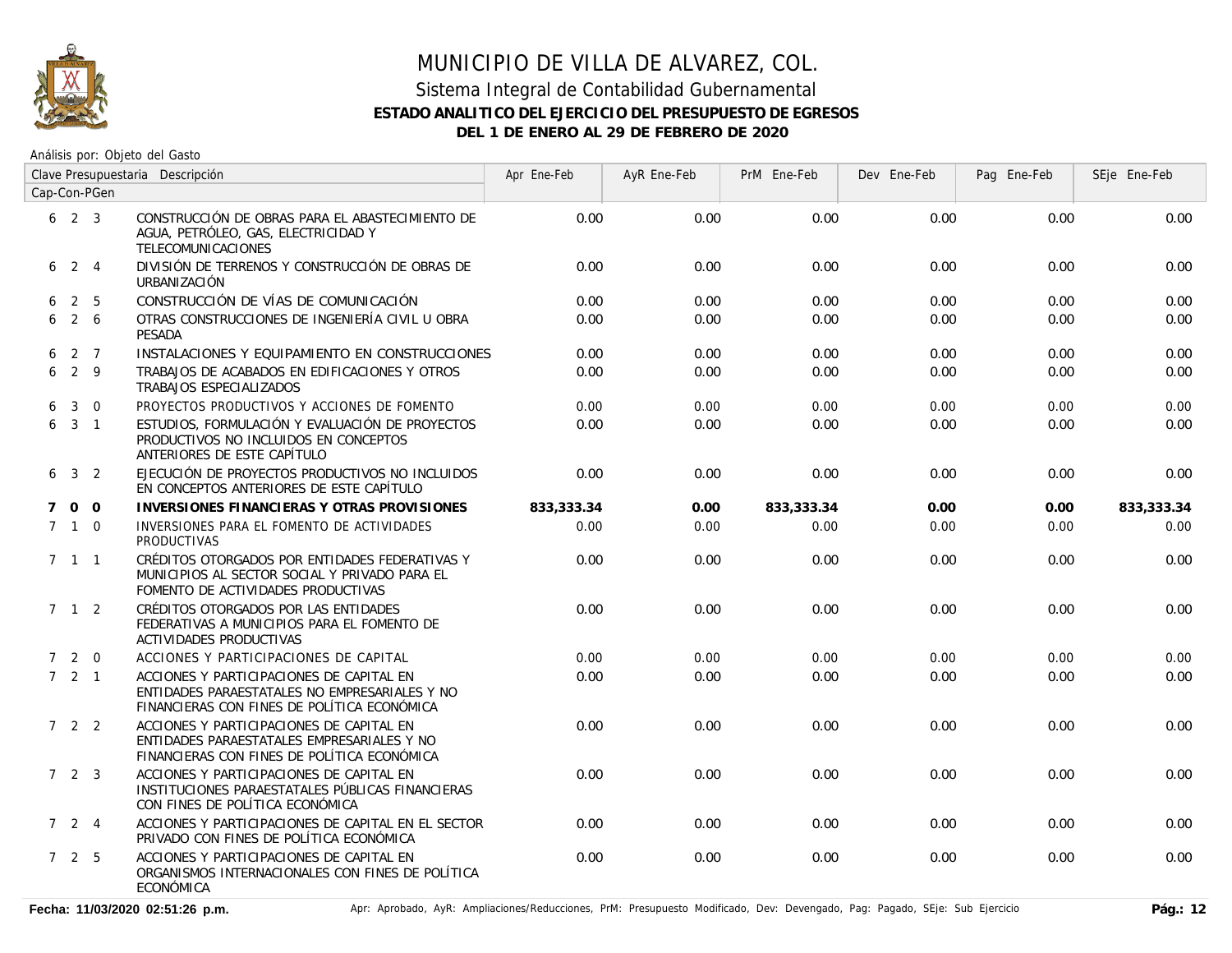

# MUNICIPIO DE VILLA DE ALVAREZ, COL.

#### Sistema Integral de Contabilidad Gubernamental **ESTADO ANALITICO DEL EJERCICIO DEL PRESUPUESTO DE EGRESOS DEL 1 DE ENERO AL 29 DE FEBRERO DE 2020**

|             | Clave Presupuestaria Descripción |                |                                                                                                                                          | Apr Ene-Feb | AyR Ene-Feb | PrM Ene-Feb | Dev Ene-Feb | Pag Ene-Feb | SEje Ene-Feb |
|-------------|----------------------------------|----------------|------------------------------------------------------------------------------------------------------------------------------------------|-------------|-------------|-------------|-------------|-------------|--------------|
|             |                                  | Cap-Con-PGen   |                                                                                                                                          |             |             |             |             |             |              |
|             | $6 \t2 \t3$                      |                | CONSTRUCCIÓN DE OBRAS PARA EL ABASTECIMIENTO DE<br>AGUA, PETRÓLEO, GAS, ELECTRICIDAD Y<br>TELECOMUNICACIONES                             | 0.00        | 0.00        | 0.00        | 0.00        | 0.00        | 0.00         |
| 6           | 2 4                              |                | DIVISIÓN DE TERRENOS Y CONSTRUCCIÓN DE OBRAS DE<br>URBANIZACIÓN                                                                          | 0.00        | 0.00        | 0.00        | 0.00        | 0.00        | 0.00         |
| 6           |                                  | 2 <sub>5</sub> | CONSTRUCCIÓN DE VÍAS DE COMUNICACIÓN                                                                                                     | 0.00        | 0.00        | 0.00        | 0.00        | 0.00        | 0.00         |
| 6           | $2\overline{6}$                  |                | OTRAS CONSTRUCCIONES DE INGENIERÍA CIVIL U OBRA<br><b>PESADA</b>                                                                         | 0.00        | 0.00        | 0.00        | 0.00        | 0.00        | 0.00         |
| 6.          | 2 7                              |                | INSTALACIONES Y EQUIPAMIENTO EN CONSTRUCCIONES                                                                                           | 0.00        | 0.00        | 0.00        | 0.00        | 0.00        | 0.00         |
| 6           |                                  | 2 9            | TRABAJOS DE ACABADOS EN EDIFICACIONES Y OTROS<br>TRABAJOS ESPECIALIZADOS                                                                 | 0.00        | 0.00        | 0.00        | 0.00        | 0.00        | 0.00         |
| 6           | 3                                | $\overline{0}$ | PROYECTOS PRODUCTIVOS Y ACCIONES DE FOMENTO                                                                                              | 0.00        | 0.00        | 0.00        | 0.00        | 0.00        | 0.00         |
| 6           | 3 <sub>1</sub>                   |                | ESTUDIOS, FORMULACIÓN Y EVALUACIÓN DE PROYECTOS<br>PRODUCTIVOS NO INCLUIDOS EN CONCEPTOS<br>ANTERIORES DE ESTE CAPÍTULO                  | 0.00        | 0.00        | 0.00        | 0.00        | 0.00        | 0.00         |
| 6           |                                  | 3 <sup>2</sup> | EJECUCIÓN DE PROYECTOS PRODUCTIVOS NO INCLUIDOS<br>EN CONCEPTOS ANTERIORES DE ESTE CAPÍTULO                                              | 0.00        | 0.00        | 0.00        | 0.00        | 0.00        | 0.00         |
| $7^{\circ}$ |                                  | $0\quad 0$     | INVERSIONES FINANCIERAS Y OTRAS PROVISIONES                                                                                              | 833,333.34  | 0.00        | 833,333.34  | 0.00        | 0.00        | 833,333.34   |
|             | $7\quad1\quad0$                  |                | INVERSIONES PARA EL FOMENTO DE ACTIVIDADES<br><b>PRODUCTIVAS</b>                                                                         | 0.00        | 0.00        | 0.00        | 0.00        | 0.00        | 0.00         |
|             | $7 \t1 \t1$                      |                | CRÉDITOS OTORGADOS POR ENTIDADES FEDERATIVAS Y<br>MUNICIPIOS AL SECTOR SOCIAL Y PRIVADO PARA EL<br>FOMENTO DE ACTIVIDADES PRODUCTIVAS    | 0.00        | 0.00        | 0.00        | 0.00        | 0.00        | 0.00         |
|             | 7 1 2                            |                | CRÉDITOS OTORGADOS POR LAS ENTIDADES<br>FEDERATIVAS A MUNICIPIOS PARA EL FOMENTO DE<br>ACTIVIDADES PRODUCTIVAS                           | 0.00        | 0.00        | 0.00        | 0.00        | 0.00        | 0.00         |
|             | 720                              |                | ACCIONES Y PARTICIPACIONES DE CAPITAL                                                                                                    | 0.00        | 0.00        | 0.00        | 0.00        | 0.00        | 0.00         |
|             | $7\quad 2\quad 1$                |                | ACCIONES Y PARTICIPACIONES DE CAPITAL EN<br>ENTIDADES PARAESTATALES NO EMPRESARIALES Y NO<br>FINANCIERAS CON FINES DE POLÍTICA ECONÓMICA | 0.00        | 0.00        | 0.00        | 0.00        | 0.00        | 0.00         |
|             | 722                              |                | ACCIONES Y PARTICIPACIONES DE CAPITAL EN<br>ENTIDADES PARAESTATALES EMPRESARIALES Y NO<br>FINANCIERAS CON FINES DE POLÍTICA ECONÓMICA    | 0.00        | 0.00        | 0.00        | 0.00        | 0.00        | 0.00         |
|             | $7\quad 2\quad 3$                |                | ACCIONES Y PARTICIPACIONES DE CAPITAL EN<br>INSTITUCIONES PARAESTATALES PÚBLICAS FINANCIERAS<br>CON FINES DE POLÍTICA ECONÓMICA          | 0.00        | 0.00        | 0.00        | 0.00        | 0.00        | 0.00         |
|             | $7 \quad 2 \quad 4$              |                | ACCIONES Y PARTICIPACIONES DE CAPITAL EN EL SECTOR<br>PRIVADO CON FINES DE POLÍTICA ECONÓMICA                                            | 0.00        | 0.00        | 0.00        | 0.00        | 0.00        | 0.00         |
|             | 7 2 5                            |                | ACCIONES Y PARTICIPACIONES DE CAPITAL EN<br>ORGANISMOS INTERNACIONALES CON FINES DE POLÍTICA<br>ECONÓMICA                                | 0.00        | 0.00        | 0.00        | 0.00        | 0.00        | 0.00         |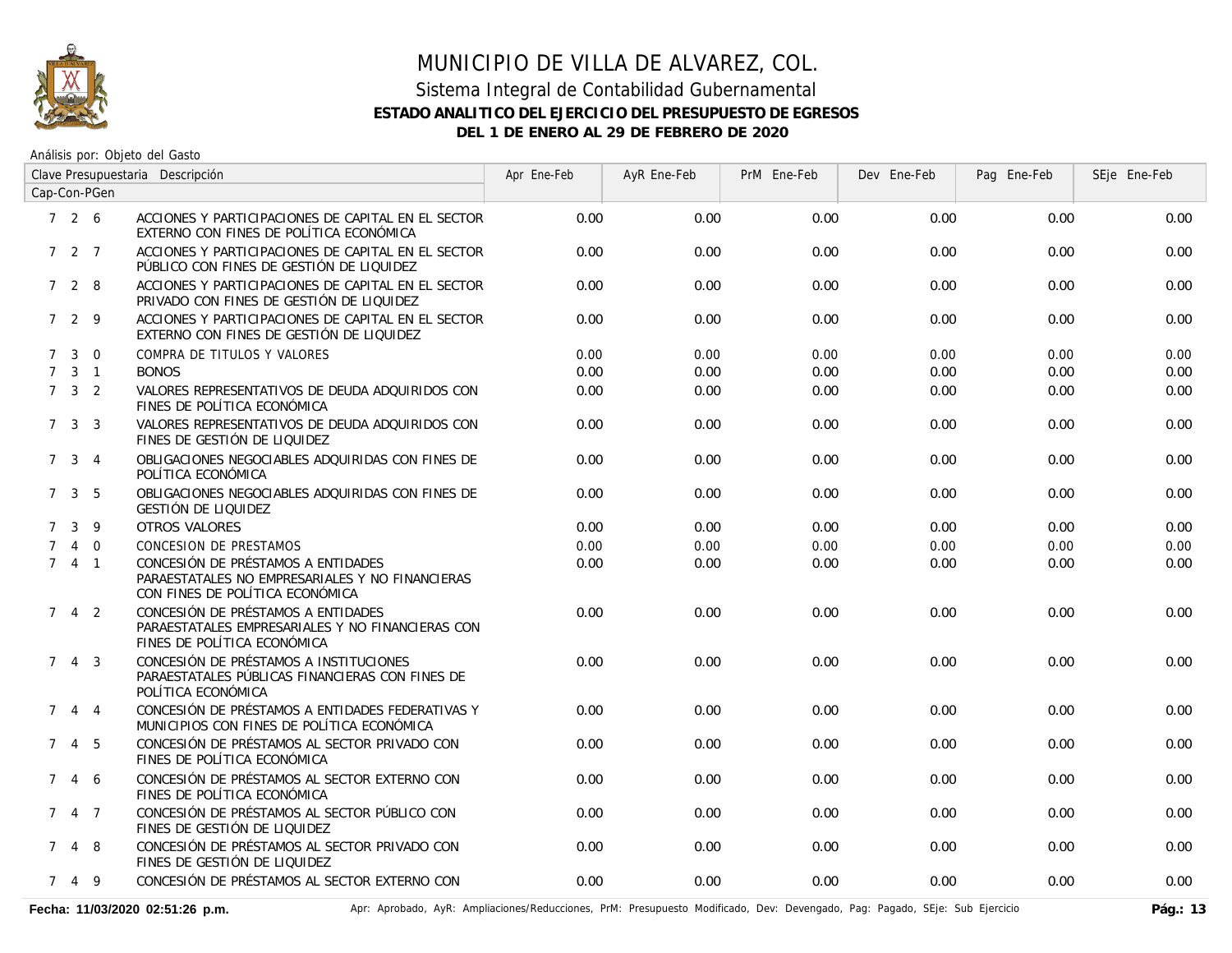

# MUNICIPIO DE VILLA DE ALVAREZ, COL.

#### Sistema Integral de Contabilidad Gubernamental **ESTADO ANALITICO DEL EJERCICIO DEL PRESUPUESTO DE EGRESOS DEL 1 DE ENERO AL 29 DE FEBRERO DE 2020**

Análisis por: Objeto del Gasto

| Clave Presupuestaria Descripción |                     |                 |                                                                                                                          | Apr Ene-Feb | AyR Ene-Feb | PrM Ene-Feb | Dev Ene-Feb | Pag Ene-Feb | SEje Ene-Feb |
|----------------------------------|---------------------|-----------------|--------------------------------------------------------------------------------------------------------------------------|-------------|-------------|-------------|-------------|-------------|--------------|
| Cap-Con-PGen                     |                     |                 |                                                                                                                          |             |             |             |             |             |              |
|                                  | 726                 |                 | ACCIONES Y PARTICIPACIONES DE CAPITAL EN EL SECTOR<br>EXTERNO CON FINES DE POLÍTICA ECONÓMICA                            | 0.00        | 0.00        | 0.00        | 0.00        | 0.00        | 0.00         |
|                                  | 7 2 7               |                 | ACCIONES Y PARTICIPACIONES DE CAPITAL EN EL SECTOR<br>PÚBLICO CON FINES DE GESTIÓN DE LIQUIDEZ                           | 0.00        | 0.00        | 0.00        | 0.00        | 0.00        | 0.00         |
|                                  | 728                 |                 | ACCIONES Y PARTICIPACIONES DE CAPITAL EN EL SECTOR<br>PRIVADO CON FINES DE GESTIÓN DE LIQUIDEZ                           | 0.00        | 0.00        | 0.00        | 0.00        | 0.00        | 0.00         |
|                                  | 729                 |                 | ACCIONES Y PARTICIPACIONES DE CAPITAL EN EL SECTOR<br>EXTERNO CON FINES DE GESTIÓN DE LIQUIDEZ                           | 0.00        | 0.00        | 0.00        | 0.00        | 0.00        | 0.00         |
|                                  | $\mathbf{3}$        | $\Omega$        | COMPRA DE TITULOS Y VALORES                                                                                              | 0.00        | 0.00        | 0.00        | 0.00        | 0.00        | 0.00         |
| $7^{\circ}$                      |                     | $3 \quad 1$     | <b>BONOS</b>                                                                                                             | 0.00        | 0.00        | 0.00        | 0.00        | 0.00        | 0.00         |
|                                  | $7 \quad 3 \quad 2$ |                 | VALORES REPRESENTATIVOS DE DEUDA ADQUIRIDOS CON<br>FINES DE POLÍTICA ECONÓMICA                                           | 0.00        | 0.00        | 0.00        | 0.00        | 0.00        | 0.00         |
|                                  | $7 \quad 3 \quad 3$ |                 | VALORES REPRESENTATIVOS DE DEUDA ADQUIRIDOS CON<br>FINES DE GESTIÓN DE LIQUIDEZ                                          | 0.00        | 0.00        | 0.00        | 0.00        | 0.00        | 0.00         |
|                                  | $7 \t3 \t4$         |                 | OBLIGACIONES NEGOCIABLES ADQUIRIDAS CON FINES DE<br>POLÍTICA ECONÓMICA                                                   | 0.00        | 0.00        | 0.00        | 0.00        | 0.00        | 0.00         |
| $7^{\circ}$                      |                     | 3 <sub>5</sub>  | OBLIGACIONES NEGOCIABLES ADQUIRIDAS CON FINES DE<br><b>GESTIÓN DE LIQUIDEZ</b>                                           | 0.00        | 0.00        | 0.00        | 0.00        | 0.00        | 0.00         |
| $\mathcal{I}$                    | 3                   | 9               | OTROS VALORES                                                                                                            | 0.00        | 0.00        | 0.00        | 0.00        | 0.00        | 0.00         |
| 7                                | $\overline{4}$      | $\overline{0}$  | CONCESION DE PRESTAMOS                                                                                                   | 0.00        | 0.00        | 0.00        | 0.00        | 0.00        | 0.00         |
|                                  | 741                 |                 | CONCESIÓN DE PRÉSTAMOS A ENTIDADES<br>PARAESTATALES NO EMPRESARIALES Y NO FINANCIERAS<br>CON FINES DE POLÍTICA ECONÓMICA | 0.00        | 0.00        | 0.00        | 0.00        | 0.00        | 0.00         |
|                                  | 7 4 2               |                 | CONCESIÓN DE PRÉSTAMOS A ENTIDADES<br>PARAESTATALES EMPRESARIALES Y NO FINANCIERAS CON<br>FINES DE POLÍTICA ECONÓMICA    | 0.00        | 0.00        | 0.00        | 0.00        | 0.00        | 0.00         |
| $7^{\circ}$                      |                     | $4 \quad 3$     | CONCESIÓN DE PRÉSTAMOS A INSTITUCIONES<br>PARAESTATALES PÚBLICAS FINANCIERAS CON FINES DE<br>POLÍTICA ECONÓMICA          | 0.00        | 0.00        | 0.00        | 0.00        | 0.00        | 0.00         |
| $7^{\circ}$                      |                     | $4 \quad 4$     | CONCESIÓN DE PRÉSTAMOS A ENTIDADES FEDERATIVAS Y<br>MUNICIPIOS CON FINES DE POLÍTICA ECONÓMICA                           | 0.00        | 0.00        | 0.00        | 0.00        | 0.00        | 0.00         |
| $7^{\circ}$                      |                     | 4 5             | CONCESIÓN DE PRÉSTAMOS AL SECTOR PRIVADO CON<br>FINES DE POLÍTICA ECONÓMICA                                              | 0.00        | 0.00        | 0.00        | 0.00        | 0.00        | 0.00         |
| $7^{\circ}$                      |                     | 4 6             | CONCESIÓN DE PRÉSTAMOS AL SECTOR EXTERNO CON<br>FINES DE POLÍTICA ECONÓMICA                                              | 0.00        | 0.00        | 0.00        | 0.00        | 0.00        | 0.00         |
|                                  | $747$               |                 | CONCESIÓN DE PRÉSTAMOS AL SECTOR PÚBLICO CON<br>FINES DE GESTIÓN DE LIQUIDEZ                                             | 0.00        | 0.00        | 0.00        | 0.00        | 0.00        | 0.00         |
|                                  | 7 4 8               |                 | CONCESIÓN DE PRÉSTAMOS AL SECTOR PRIVADO CON<br>FINES DE GESTIÓN DE LIQUIDEZ                                             | 0.00        | 0.00        | 0.00        | 0.00        | 0.00        | 0.00         |
| $7^{\circ}$                      |                     | $4\overline{9}$ | CONCESIÓN DE PRÉSTAMOS AL SECTOR EXTERNO CON                                                                             | 0.00        | 0.00        | 0.00        | 0.00        | 0.00        | 0.00         |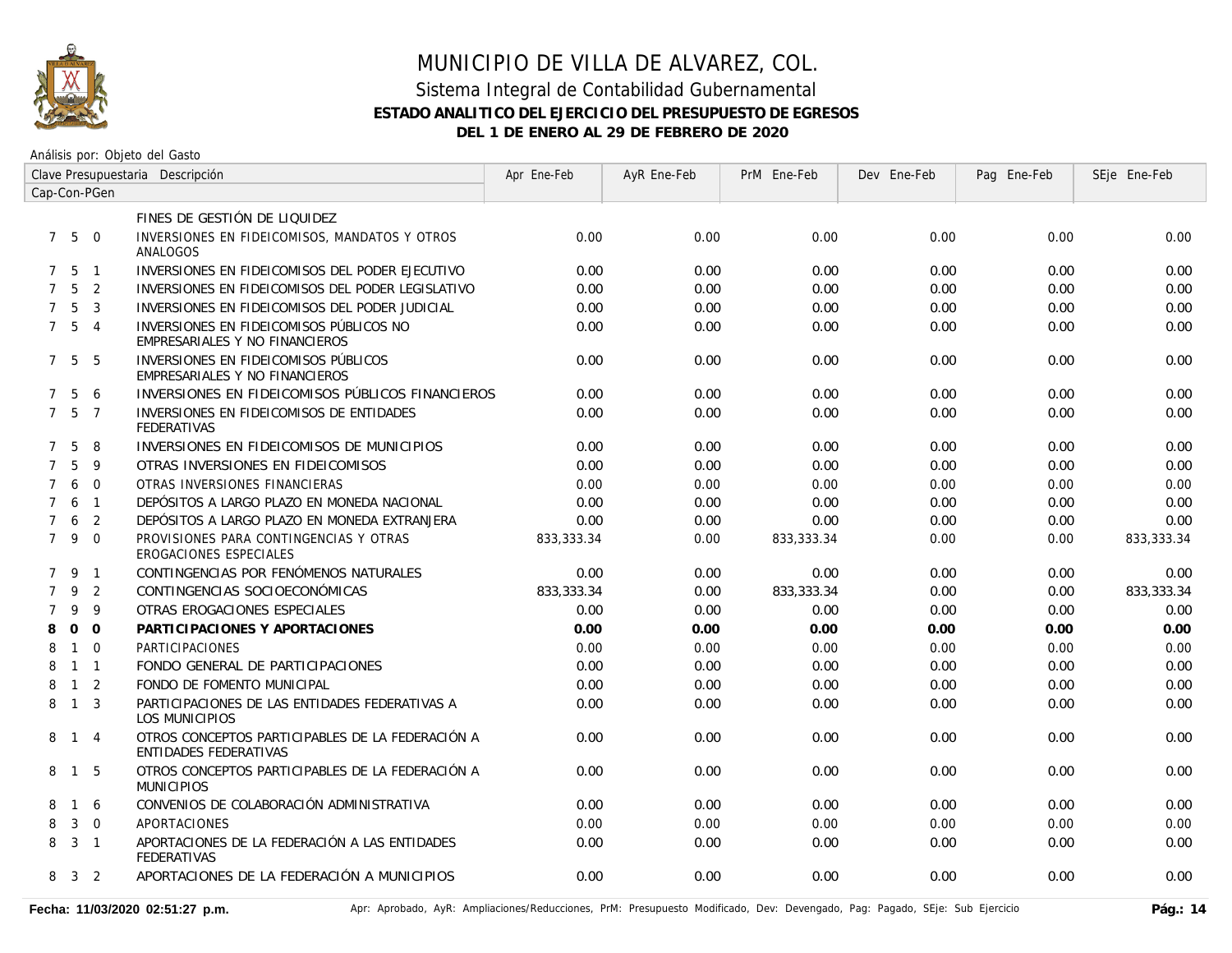

| Clave Presupuestaria Descripción<br>Cap-Con-PGen |                |                          |                                                                                  | Apr Ene-Feb | AyR Ene-Feb | PrM Ene-Feb | Dev Ene-Feb | Pag Ene-Feb | SEje Ene-Feb |
|--------------------------------------------------|----------------|--------------------------|----------------------------------------------------------------------------------|-------------|-------------|-------------|-------------|-------------|--------------|
|                                                  |                |                          |                                                                                  |             |             |             |             |             |              |
|                                                  |                |                          | FINES DE GESTIÓN DE LIQUIDEZ                                                     |             |             |             |             |             |              |
| $7^{\circ}$                                      | 5              | $\overline{0}$           | INVERSIONES EN FIDEICOMISOS, MANDATOS Y OTROS<br>ANALOGOS                        | 0.00        | 0.00        | 0.00        | 0.00        | 0.00        | 0.00         |
| $7^{\circ}$                                      | 5              | $\overline{1}$           | INVERSIONES EN FIDEICOMISOS DEL PODER EJECUTIVO                                  | 0.00        | 0.00        | 0.00        | 0.00        | 0.00        | 0.00         |
| $\overline{7}$                                   | 5              | 2                        | INVERSIONES EN FIDEICOMISOS DEL PODER LEGISLATIVO                                | 0.00        | 0.00        | 0.00        | 0.00        | 0.00        | 0.00         |
| $\overline{7}$                                   | 5              | $\overline{3}$           | INVERSIONES EN FIDEICOMISOS DEL PODER JUDICIAL                                   | 0.00        | 0.00        | 0.00        | 0.00        | 0.00        | 0.00         |
| $7^{\circ}$                                      | 5              | $\overline{4}$           | INVERSIONES EN FIDEICOMISOS PÚBLICOS NO<br>EMPRESARIALES Y NO FINANCIEROS        | 0.00        | 0.00        | 0.00        | 0.00        | 0.00        | 0.00         |
| $7^{\circ}$                                      | 5              | -5                       | INVERSIONES EN FIDEICOMISOS PÚBLICOS<br>EMPRESARIALES Y NO FINANCIEROS           | 0.00        | 0.00        | 0.00        | 0.00        | 0.00        | 0.00         |
| $7^{\circ}$                                      | 5              | 6                        | INVERSIONES EN FIDEICOMISOS PÚBLICOS FINANCIEROS                                 | 0.00        | 0.00        | 0.00        | 0.00        | 0.00        | 0.00         |
| $7^{\circ}$                                      |                | 5 7                      | INVERSIONES EN FIDEICOMISOS DE ENTIDADES<br><b>FEDERATIVAS</b>                   | 0.00        | 0.00        | 0.00        | 0.00        | 0.00        | 0.00         |
| 7                                                | 5              | 8                        | INVERSIONES EN FIDEICOMISOS DE MUNICIPIOS                                        | 0.00        | 0.00        | 0.00        | 0.00        | 0.00        | 0.00         |
| $\overline{7}$                                   | 5              | -9                       | OTRAS INVERSIONES EN FIDEICOMISOS                                                | 0.00        | 0.00        | 0.00        | 0.00        | 0.00        | 0.00         |
| $\overline{7}$                                   | 6              | $\overline{0}$           | OTRAS INVERSIONES FINANCIERAS                                                    | 0.00        | 0.00        | 0.00        | 0.00        | 0.00        | 0.00         |
| $\overline{7}$                                   | 6              | $\overline{1}$           | DEPÓSITOS A LARGO PLAZO EN MONEDA NACIONAL                                       | 0.00        | 0.00        | 0.00        | 0.00        | 0.00        | 0.00         |
|                                                  | 6              | 2                        | DEPÓSITOS A LARGO PLAZO EN MONEDA EXTRANJERA                                     | 0.00        | 0.00        | 0.00        | 0.00        | 0.00        | 0.00         |
|                                                  | 7 9            | $\Omega$                 | PROVISIONES PARA CONTINGENCIAS Y OTRAS<br>EROGACIONES ESPECIALES                 | 833,333.34  | 0.00        | 833,333.34  | 0.00        | 0.00        | 833,333.34   |
| $7^{\circ}$                                      | 9              | $\overline{1}$           | CONTINGENCIAS POR FENÓMENOS NATURALES                                            | 0.00        | 0.00        | 0.00        | 0.00        | 0.00        | 0.00         |
| $\overline{7}$                                   | 9              | $\overline{2}$           | CONTINGENCIAS SOCIOECONÓMICAS                                                    | 833,333.34  | 0.00        | 833,333.34  | 0.00        | 0.00        | 833,333.34   |
| $\overline{7}$                                   | 9              | 9                        | OTRAS EROGACIONES ESPECIALES                                                     | 0.00        | 0.00        | 0.00        | 0.00        | 0.00        | 0.00         |
| 8                                                | $\mathbf 0$    | $\overline{0}$           | PARTICIPACIONES Y APORTACIONES                                                   | 0.00        | 0.00        | 0.00        | 0.00        | 0.00        | 0.00         |
| 8                                                | $\mathbf{1}$   | $\Omega$                 | <b>PARTICIPACIONES</b>                                                           | 0.00        | 0.00        | 0.00        | 0.00        | 0.00        | 0.00         |
| 8                                                |                | $1 \quad 1$              | FONDO GENERAL DE PARTICIPACIONES                                                 | 0.00        | 0.00        | 0.00        | 0.00        | 0.00        | 0.00         |
| 8                                                | $\mathbf{1}$   | $\overline{\phantom{0}}$ | FONDO DE FOMENTO MUNICIPAL                                                       | 0.00        | 0.00        | 0.00        | 0.00        | 0.00        | 0.00         |
| 8                                                | $1 \quad 3$    |                          | PARTICIPACIONES DE LAS ENTIDADES FEDERATIVAS A<br>LOS MUNICIPIOS                 | 0.00        | 0.00        | 0.00        | 0.00        | 0.00        | 0.00         |
| 8                                                |                | $1 \quad 4$              | OTROS CONCEPTOS PARTICIPABLES DE LA FEDERACIÓN A<br><b>ENTIDADES FEDERATIVAS</b> | 0.00        | 0.00        | 0.00        | 0.00        | 0.00        | 0.00         |
| 8                                                |                | $1\quad5$                | OTROS CONCEPTOS PARTICIPABLES DE LA FEDERACIÓN A<br><b>MUNICIPIOS</b>            | 0.00        | 0.00        | 0.00        | 0.00        | 0.00        | 0.00         |
| 8                                                |                | 1 6                      | CONVENIOS DE COLABORACIÓN ADMINISTRATIVA                                         | 0.00        | 0.00        | 0.00        | 0.00        | 0.00        | 0.00         |
| 8                                                | 3              | $\overline{0}$           | <b>APORTACIONES</b>                                                              | 0.00        | 0.00        | 0.00        | 0.00        | 0.00        | 0.00         |
| 8                                                | 3              | $\overline{1}$           | APORTACIONES DE LA FEDERACIÓN A LAS ENTIDADES<br><b>FEDERATIVAS</b>              | 0.00        | 0.00        | 0.00        | 0.00        | 0.00        | 0.00         |
| 8                                                | $\overline{3}$ | $\overline{2}$           | APORTACIONES DE LA FEDERACIÓN A MUNICIPIOS                                       | 0.00        | 0.00        | 0.00        | 0.00        | 0.00        | 0.00         |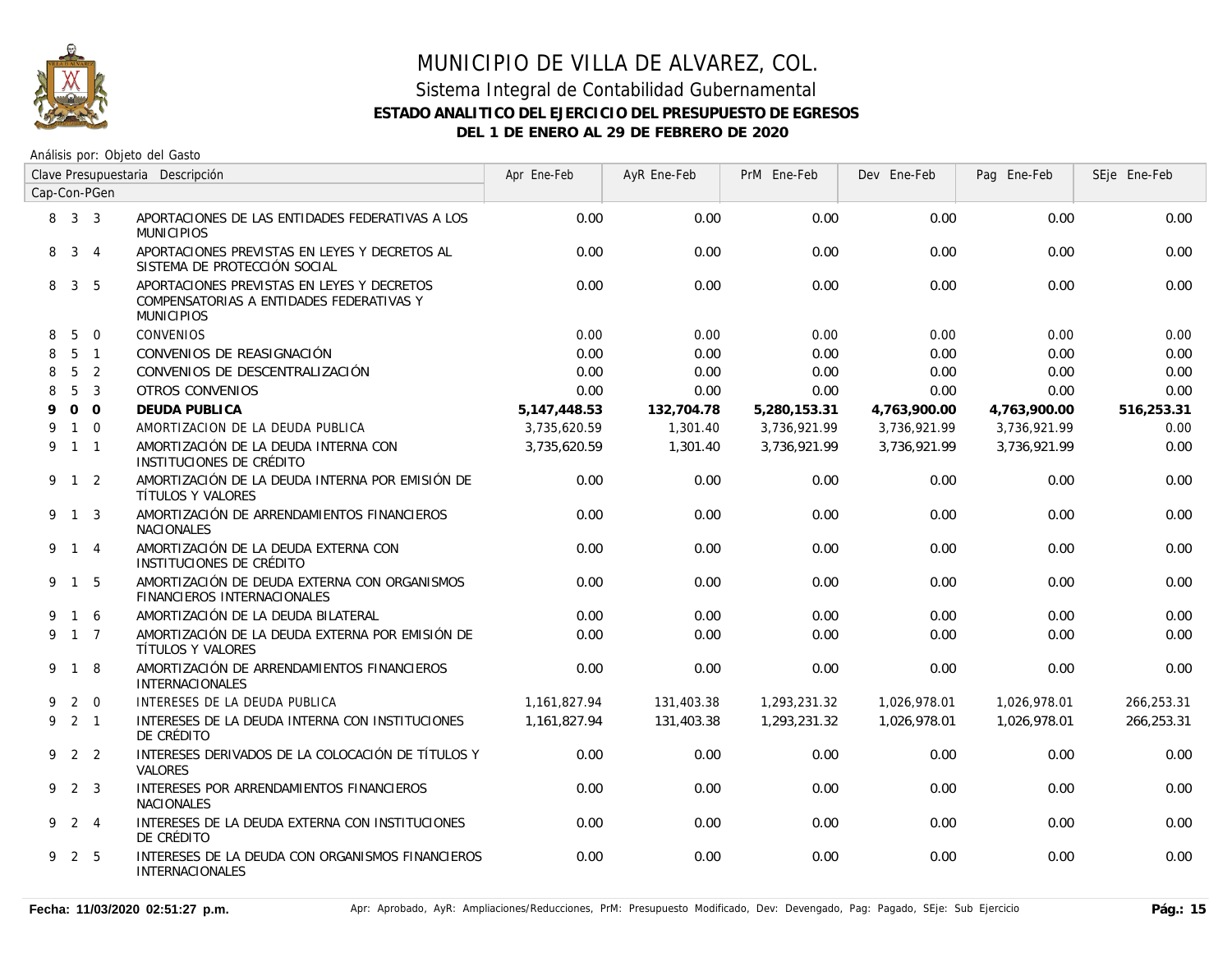

| Clave Presupuestaria Descripción |              |                |                                                                                                             | Apr Ene-Feb    | AyR Ene-Feb | PrM Ene-Feb  | Dev Ene-Feb  | Pag Ene-Feb  | SEje Ene-Feb |
|----------------------------------|--------------|----------------|-------------------------------------------------------------------------------------------------------------|----------------|-------------|--------------|--------------|--------------|--------------|
| Cap-Con-PGen                     |              |                |                                                                                                             |                |             |              |              |              |              |
|                                  | 8 3 3        |                | APORTACIONES DE LAS ENTIDADES FEDERATIVAS A LOS<br><b>MUNICIPIOS</b>                                        | 0.00           | 0.00        | 0.00         | 0.00         | 0.00         | 0.00         |
| 8                                | 3            | $\overline{4}$ | APORTACIONES PREVISTAS EN LEYES Y DECRETOS AL<br>SISTEMA DE PROTECCIÓN SOCIAL                               | 0.00           | 0.00        | 0.00         | 0.00         | 0.00         | 0.00         |
| 8                                |              | 3 <sub>5</sub> | APORTACIONES PREVISTAS EN LEYES Y DECRETOS<br>COMPENSATORIAS A ENTIDADES FEDERATIVAS Y<br><b>MUNICIPIOS</b> | 0.00           | 0.00        | 0.00         | 0.00         | 0.00         | 0.00         |
| 8                                | 5            | $\overline{0}$ | CONVENIOS                                                                                                   | 0.00           | 0.00        | 0.00         | 0.00         | 0.00         | 0.00         |
| 8                                |              | 5 <sub>1</sub> | CONVENIOS DE REASIGNACIÓN                                                                                   | 0.00           | 0.00        | 0.00         | 0.00         | 0.00         | 0.00         |
| 8                                | 5            | $\overline{2}$ | CONVENIOS DE DESCENTRALIZACIÓN                                                                              | 0.00           | 0.00        | 0.00         | 0.00         | 0.00         | 0.00         |
| 8                                | 5            | $\overline{3}$ | OTROS CONVENIOS                                                                                             | 0.00           | 0.00        | 0.00         | 0.00         | 0.00         | 0.00         |
| 9                                | $\circ$      | $\Omega$       | DEUDA PUBLICA                                                                                               | 5, 147, 448.53 | 132,704.78  | 5,280,153.31 | 4,763,900.00 | 4,763,900.00 | 516,253.31   |
| 9                                | $\mathbf{1}$ | $\Omega$       | AMORTIZACION DE LA DEUDA PUBLICA                                                                            | 3,735,620.59   | 1,301.40    | 3,736,921.99 | 3,736,921.99 | 3,736,921.99 | 0.00         |
| 9                                |              | $1 \quad 1$    | AMORTIZACIÓN DE LA DEUDA INTERNA CON<br>INSTITUCIONES DE CRÉDITO                                            | 3,735,620.59   | 1,301.40    | 3,736,921.99 | 3,736,921.99 | 3,736,921.99 | 0.00         |
| 9.                               | $\mathbf{1}$ | 2              | AMORTIZACIÓN DE LA DEUDA INTERNA POR EMISIÓN DE<br>TÍTULOS Y VALORES                                        | 0.00           | 0.00        | 0.00         | 0.00         | 0.00         | 0.00         |
|                                  | 9 1 3        |                | AMORTIZACIÓN DE ARRENDAMIENTOS FINANCIEROS<br>NACIONALES                                                    | 0.00           | 0.00        | 0.00         | 0.00         | 0.00         | 0.00         |
| 9                                |              | $1 \quad 4$    | AMORTIZACIÓN DE LA DEUDA EXTERNA CON<br>INSTITUCIONES DE CRÉDITO                                            | 0.00           | 0.00        | 0.00         | 0.00         | 0.00         | 0.00         |
| 9                                |              | 1 <sub>5</sub> | AMORTIZACIÓN DE DEUDA EXTERNA CON ORGANISMOS<br>FINANCIEROS INTERNACIONALES                                 | 0.00           | 0.00        | 0.00         | 0.00         | 0.00         | 0.00         |
|                                  | $\mathbf{1}$ | 6              | AMORTIZACIÓN DE LA DEUDA BILATERAL                                                                          | 0.00           | 0.00        | 0.00         | 0.00         | 0.00         | 0.00         |
| 9                                |              | $1 \quad 7$    | AMORTIZACIÓN DE LA DEUDA EXTERNA POR EMISIÓN DE<br>TÍTULOS Y VALORES                                        | 0.00           | 0.00        | 0.00         | 0.00         | 0.00         | 0.00         |
| 9.                               | $\mathbf{1}$ | - 8            | AMORTIZACIÓN DE ARRENDAMIENTOS FINANCIEROS<br>INTERNACIONALES                                               | 0.00           | 0.00        | 0.00         | 0.00         | 0.00         | 0.00         |
| 9                                | 2            | $\overline{0}$ | INTERESES DE LA DEUDA PUBLICA                                                                               | 1,161,827.94   | 131,403.38  | 1,293,231.32 | 1,026,978.01 | 1,026,978.01 | 266.253.31   |
|                                  | $9$ 2 1      |                | INTERESES DE LA DEUDA INTERNA CON INSTITUCIONES<br>DE CRÉDITO                                               | 1,161,827.94   | 131,403.38  | 1,293,231.32 | 1,026,978.01 | 1.026.978.01 | 266,253.31   |
|                                  | 922          |                | INTERESES DERIVADOS DE LA COLOCACIÓN DE TÍTULOS Y<br><b>VALORES</b>                                         | 0.00           | 0.00        | 0.00         | 0.00         | 0.00         | 0.00         |
|                                  | 9 2 3        |                | INTERESES POR ARRENDAMIENTOS FINANCIEROS<br><b>NACIONALES</b>                                               | 0.00           | 0.00        | 0.00         | 0.00         | 0.00         | 0.00         |
| 9.                               |              | 2 4            | INTERESES DE LA DEUDA EXTERNA CON INSTITUCIONES<br>DE CRÉDITO                                               | 0.00           | 0.00        | 0.00         | 0.00         | 0.00         | 0.00         |
| 9                                |              | 2 5            | INTERESES DE LA DEUDA CON ORGANISMOS FINANCIEROS<br><b>INTERNACIONALES</b>                                  | 0.00           | 0.00        | 0.00         | 0.00         | 0.00         | 0.00         |